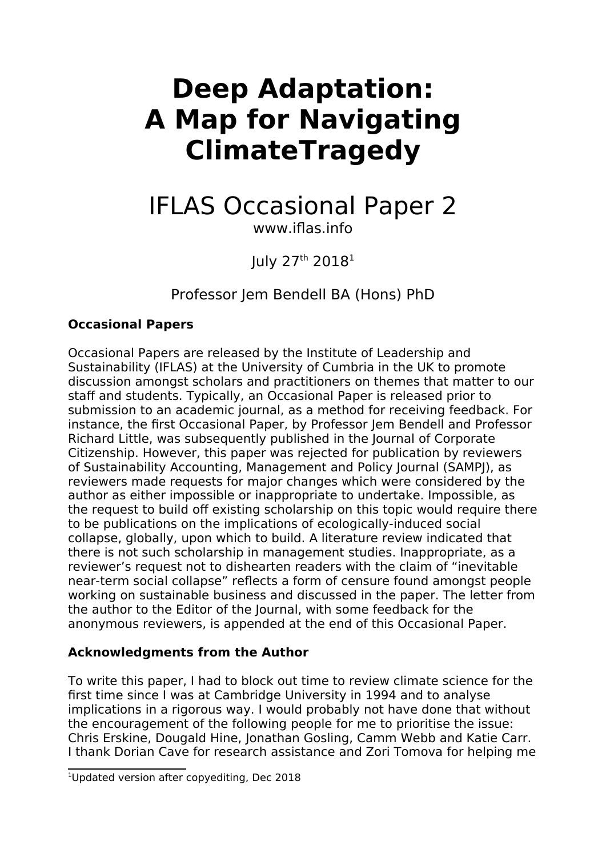# **Deep Adaptation: A Map for Navigating ClimateTragedy**

# IFLAS Occasional Paper 2

www.iflas.info

July  $27^{th}$  20[1](#page-0-0)8<sup>1</sup>

Professor Jem Bendell BA (Hons) PhD

# **Occasional Papers**

Occasional Papers are released by the Institute of Leadership and Sustainability (IFLAS) at the University of Cumbria in the UK to promote discussion amongst scholars and practitioners on themes that matter to our staff and students. Typically, an Occasional Paper is released prior to submission to an academic journal, as a method for receiving feedback. For instance, the first Occasional Paper, by Professor Jem Bendell and Professor Richard Little, was subsequently published in the Journal of Corporate Citizenship. However, this paper was rejected for publication by reviewers of Sustainability Accounting, Management and Policy Journal (SAMPJ), as reviewers made requests for major changes which were considered by the author as either impossible or inappropriate to undertake. Impossible, as the request to build off existing scholarship on this topic would require there to be publications on the implications of ecologically-induced social collapse, globally, upon which to build. A literature review indicated that there is not such scholarship in management studies. Inappropriate, as a reviewer's request not to dishearten readers with the claim of "inevitable near-term social collapse" reflects a form of censure found amongst people working on sustainable business and discussed in the paper. The letter from the author to the Editor of the Journal, with some feedback for the anonymous reviewers, is appended at the end of this Occasional Paper.

# **Acknowledgments from the Author**

To write this paper, I had to block out time to review climate science for the first time since I was at Cambridge University in 1994 and to analyse implications in a rigorous way. I would probably not have done that without the encouragement of the following people for me to prioritise the issue: Chris Erskine, Dougald Hine, Jonathan Gosling, Camm Webb and Katie Carr. I thank Dorian Cave for research assistance and Zori Tomova for helping me

<span id="page-0-0"></span><sup>&</sup>lt;sup>1</sup>Updated version after copyediting, Dec 2018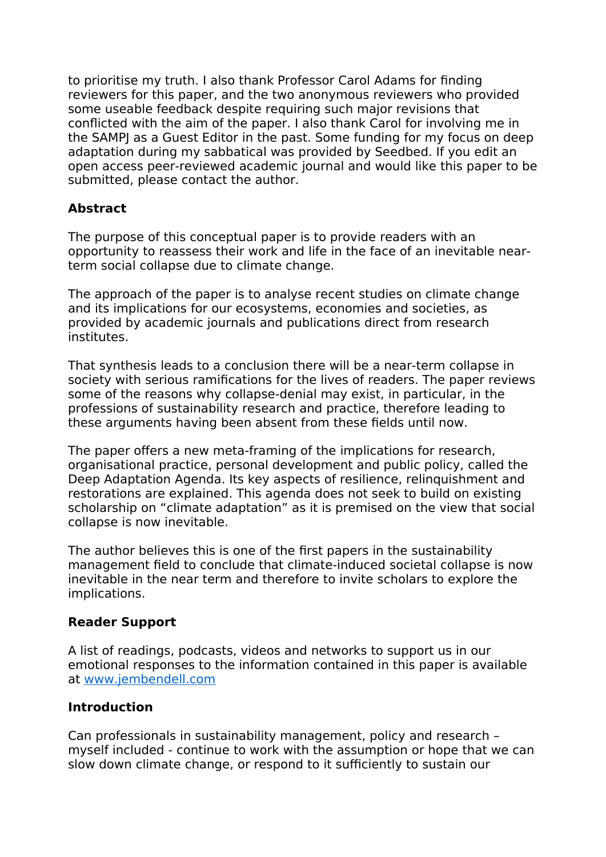to prioritise my truth. I also thank Professor Carol Adams for finding reviewers for this paper, and the two anonymous reviewers who provided some useable feedback despite requiring such major revisions that conflicted with the aim of the paper. I also thank Carol for involving me in the SAMPJ as a Guest Editor in the past. Some funding for my focus on deep adaptation during my sabbatical was provided by Seedbed. If you edit an open access peer-reviewed academic journal and would like this paper to be submitted, please contact the author.

## **Abstract**

The purpose of this conceptual paper is to provide readers with an opportunity to reassess their work and life in the face of an inevitable nearterm social collapse due to climate change.

The approach of the paper is to analyse recent studies on climate change and its implications for our ecosystems, economies and societies, as provided by academic journals and publications direct from research institutes.

That synthesis leads to a conclusion there will be a near-term collapse in society with serious ramifications for the lives of readers. The paper reviews some of the reasons why collapse-denial may exist, in particular, in the professions of sustainability research and practice, therefore leading to these arguments having been absent from these fields until now.

The paper offers a new meta-framing of the implications for research, organisational practice, personal development and public policy, called the Deep Adaptation Agenda. Its key aspects of resilience, relinquishment and restorations are explained. This agenda does not seek to build on existing scholarship on "climate adaptation" as it is premised on the view that social collapse is now inevitable.

The author believes this is one of the first papers in the sustainability management field to conclude that climate-induced societal collapse is now inevitable in the near term and therefore to invite scholars to explore the implications.

## **Reader Support**

A list of readings, podcasts, videos and networks to support us in our emotional responses to the information contained in this paper is available at [www.jembendell.com](http://www.jembendell.com/)

# **Introduction**

Can professionals in sustainability management, policy and research – myself included - continue to work with the assumption or hope that we can slow down climate change, or respond to it sufficiently to sustain our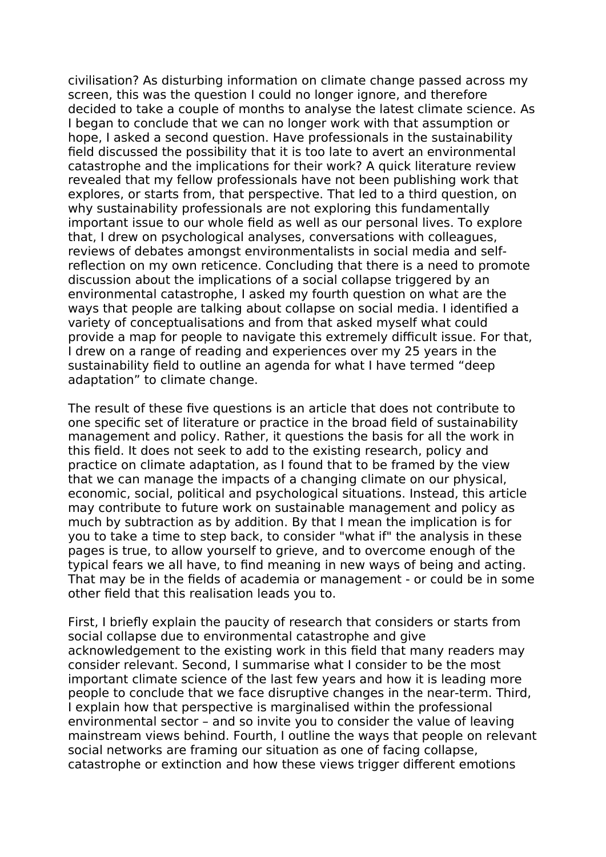civilisation? As disturbing information on climate change passed across my screen, this was the question I could no longer ignore, and therefore decided to take a couple of months to analyse the latest climate science. As I began to conclude that we can no longer work with that assumption or hope, I asked a second question. Have professionals in the sustainability field discussed the possibility that it is too late to avert an environmental catastrophe and the implications for their work? A quick literature review revealed that my fellow professionals have not been publishing work that explores, or starts from, that perspective. That led to a third question, on why sustainability professionals are not exploring this fundamentally important issue to our whole field as well as our personal lives. To explore that, I drew on psychological analyses, conversations with colleagues, reviews of debates amongst environmentalists in social media and selfreflection on my own reticence. Concluding that there is a need to promote discussion about the implications of a social collapse triggered by an environmental catastrophe, I asked my fourth question on what are the ways that people are talking about collapse on social media. I identified a variety of conceptualisations and from that asked myself what could provide a map for people to navigate this extremely difficult issue. For that, I drew on a range of reading and experiences over my 25 years in the sustainability field to outline an agenda for what I have termed "deep adaptation" to climate change.

The result of these five questions is an article that does not contribute to one specific set of literature or practice in the broad field of sustainability management and policy. Rather, it questions the basis for all the work in this field. It does not seek to add to the existing research, policy and practice on climate adaptation, as I found that to be framed by the view that we can manage the impacts of a changing climate on our physical, economic, social, political and psychological situations. Instead, this article may contribute to future work on sustainable management and policy as much by subtraction as by addition. By that I mean the implication is for you to take a time to step back, to consider "what if" the analysis in these pages is true, to allow yourself to grieve, and to overcome enough of the typical fears we all have, to find meaning in new ways of being and acting. That may be in the fields of academia or management - or could be in some other field that this realisation leads you to.

First, I briefly explain the paucity of research that considers or starts from social collapse due to environmental catastrophe and give acknowledgement to the existing work in this field that many readers may consider relevant. Second, I summarise what I consider to be the most important climate science of the last few years and how it is leading more people to conclude that we face disruptive changes in the near-term. Third, I explain how that perspective is marginalised within the professional environmental sector – and so invite you to consider the value of leaving mainstream views behind. Fourth, I outline the ways that people on relevant social networks are framing our situation as one of facing collapse, catastrophe or extinction and how these views trigger different emotions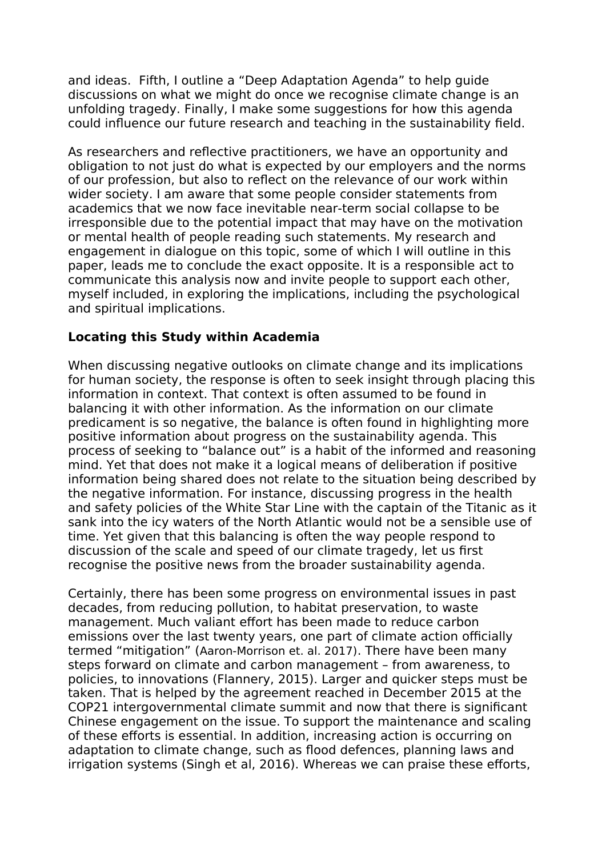and ideas. Fifth, I outline a "Deep Adaptation Agenda" to help guide discussions on what we might do once we recognise climate change is an unfolding tragedy. Finally, I make some suggestions for how this agenda could influence our future research and teaching in the sustainability field.

As researchers and reflective practitioners, we have an opportunity and obligation to not just do what is expected by our employers and the norms of our profession, but also to reflect on the relevance of our work within wider society. I am aware that some people consider statements from academics that we now face inevitable near-term social collapse to be irresponsible due to the potential impact that may have on the motivation or mental health of people reading such statements. My research and engagement in dialogue on this topic, some of which I will outline in this paper, leads me to conclude the exact opposite. It is a responsible act to communicate this analysis now and invite people to support each other, myself included, in exploring the implications, including the psychological and spiritual implications.

#### **Locating this Study within Academia**

When discussing negative outlooks on climate change and its implications for human society, the response is often to seek insight through placing this information in context. That context is often assumed to be found in balancing it with other information. As the information on our climate predicament is so negative, the balance is often found in highlighting more positive information about progress on the sustainability agenda. This process of seeking to "balance out" is a habit of the informed and reasoning mind. Yet that does not make it a logical means of deliberation if positive information being shared does not relate to the situation being described by the negative information. For instance, discussing progress in the health and safety policies of the White Star Line with the captain of the Titanic as it sank into the icy waters of the North Atlantic would not be a sensible use of time. Yet given that this balancing is often the way people respond to discussion of the scale and speed of our climate tragedy, let us first recognise the positive news from the broader sustainability agenda.

Certainly, there has been some progress on environmental issues in past decades, from reducing pollution, to habitat preservation, to waste management. Much valiant effort has been made to reduce carbon emissions over the last twenty years, one part of climate action officially termed "mitigation" (Aaron-Morrison et. al. 2017). There have been many steps forward on climate and carbon management – from awareness, to policies, to innovations (Flannery, 2015). Larger and quicker steps must be taken. That is helped by the agreement reached in December 2015 at the COP21 intergovernmental climate summit and now that there is significant Chinese engagement on the issue. To support the maintenance and scaling of these efforts is essential. In addition, increasing action is occurring on adaptation to climate change, such as flood defences, planning laws and irrigation systems (Singh et al, 2016). Whereas we can praise these efforts,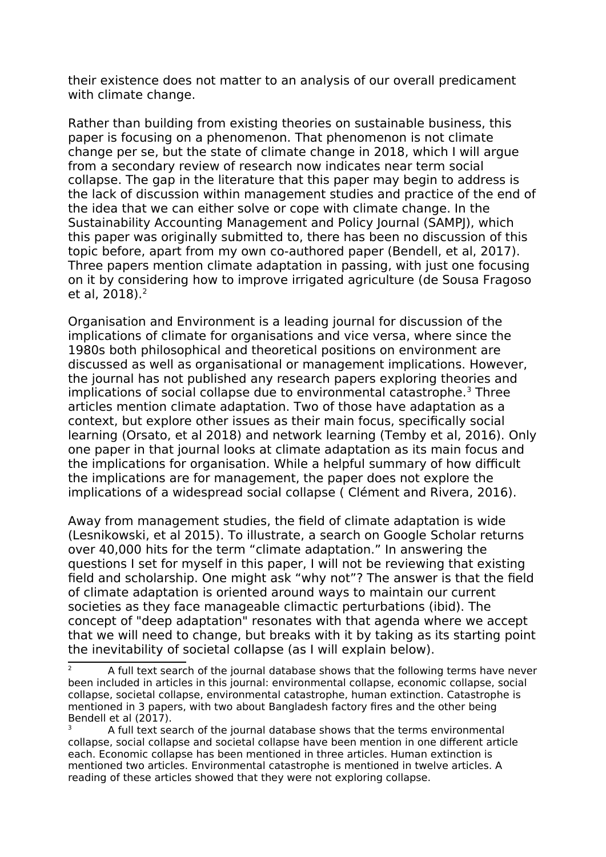their existence does not matter to an analysis of our overall predicament with climate change.

Rather than building from existing theories on sustainable business, this paper is focusing on a phenomenon. That phenomenon is not climate change per se, but the state of climate change in 2018, which I will argue from a secondary review of research now indicates near term social collapse. The gap in the literature that this paper may begin to address is the lack of discussion within management studies and practice of the end of the idea that we can either solve or cope with climate change. In the Sustainability Accounting Management and Policy Journal (SAMPJ), which this paper was originally submitted to, there has been no discussion of this topic before, apart from my own co-authored paper (Bendell, et al, 2017). Three papers mention climate adaptation in passing, with just one focusing on it by considering how to improve irrigated agriculture (de Sousa Fragoso et al. [2](#page-4-0)018).<sup>2</sup>

Organisation and Environment is a leading journal for discussion of the implications of climate for organisations and vice versa, where since the 1980s both philosophical and theoretical positions on environment are discussed as well as organisational or management implications. However, the journal has not published any research papers exploring theories and implications of social collapse due to environmental catastrophe.<sup>[3](#page-4-1)</sup> Three articles mention climate adaptation. Two of those have adaptation as a context, but explore other issues as their main focus, specifically social learning (Orsato, et al 2018) and network learning (Temby et al, 2016). Only one paper in that journal looks at climate adaptation as its main focus and the implications for organisation. While a helpful summary of how difficult the implications are for management, the paper does not explore the implications of a widespread social collapse ( Clément and Rivera, 2016).

Away from management studies, the field of climate adaptation is wide (Lesnikowski, et al 2015). To illustrate, a search on Google Scholar returns over 40,000 hits for the term "climate adaptation." In answering the questions I set for myself in this paper, I will not be reviewing that existing field and scholarship. One might ask "why not"? The answer is that the field of climate adaptation is oriented around ways to maintain our current societies as they face manageable climactic perturbations (ibid). The concept of "deep adaptation" resonates with that agenda where we accept that we will need to change, but breaks with it by taking as its starting point the inevitability of societal collapse (as I will explain below).

<span id="page-4-0"></span><sup>2</sup> A full text search of the journal database shows that the following terms have never been included in articles in this journal: environmental collapse, economic collapse, social collapse, societal collapse, environmental catastrophe, human extinction. Catastrophe is mentioned in 3 papers, with two about Bangladesh factory fires and the other being Bendell et al (2017).

<span id="page-4-1"></span><sup>3</sup> A full text search of the journal database shows that the terms environmental collapse, social collapse and societal collapse have been mention in one different article each. Economic collapse has been mentioned in three articles. Human extinction is mentioned two articles. Environmental catastrophe is mentioned in twelve articles. A reading of these articles showed that they were not exploring collapse.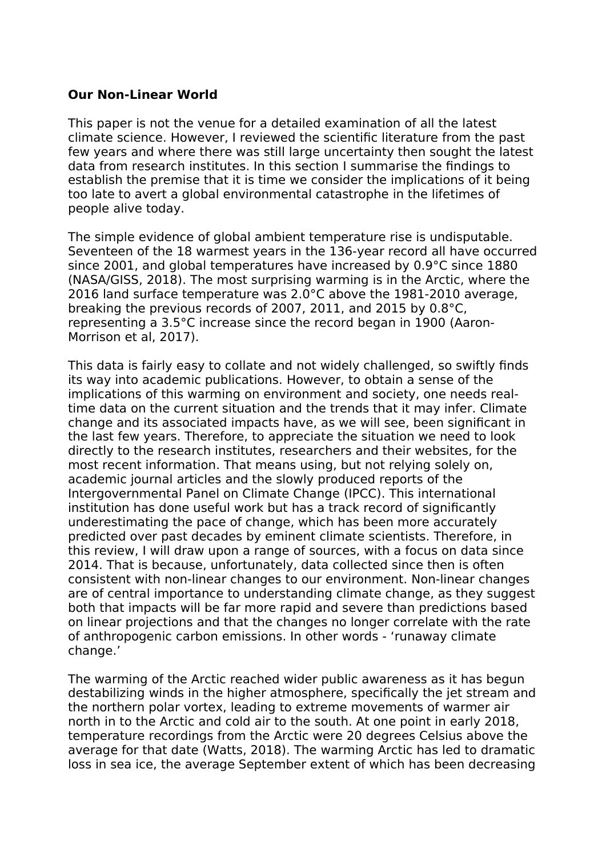#### **Our Non-Linear World**

This paper is not the venue for a detailed examination of all the latest climate science. However, I reviewed the scientific literature from the past few years and where there was still large uncertainty then sought the latest data from research institutes. In this section I summarise the findings to establish the premise that it is time we consider the implications of it being too late to avert a global environmental catastrophe in the lifetimes of people alive today.

The simple evidence of global ambient temperature rise is undisputable. Seventeen of the 18 warmest years in the 136-year record all have occurred since 2001, and global temperatures have increased by 0.9°C since 1880 (NASA/GISS, 2018). The most surprising warming is in the Arctic, where the 2016 land surface temperature was 2.0°C above the 1981-2010 average, breaking the previous records of 2007, 2011, and 2015 by 0.8°C, representing a 3.5°C increase since the record began in 1900 (Aaron-Morrison et al, 2017).

This data is fairly easy to collate and not widely challenged, so swiftly finds its way into academic publications. However, to obtain a sense of the implications of this warming on environment and society, one needs realtime data on the current situation and the trends that it may infer. Climate change and its associated impacts have, as we will see, been significant in the last few years. Therefore, to appreciate the situation we need to look directly to the research institutes, researchers and their websites, for the most recent information. That means using, but not relying solely on, academic journal articles and the slowly produced reports of the Intergovernmental Panel on Climate Change (IPCC). This international institution has done useful work but has a track record of significantly underestimating the pace of change, which has been more accurately predicted over past decades by eminent climate scientists. Therefore, in this review, I will draw upon a range of sources, with a focus on data since 2014. That is because, unfortunately, data collected since then is often consistent with non-linear changes to our environment. Non-linear changes are of central importance to understanding climate change, as they suggest both that impacts will be far more rapid and severe than predictions based on linear projections and that the changes no longer correlate with the rate of anthropogenic carbon emissions. In other words - 'runaway climate change.'

The warming of the Arctic reached wider public awareness as it has begun destabilizing winds in the higher atmosphere, specifically the jet stream and the northern polar vortex, leading to extreme movements of warmer air north in to the Arctic and cold air to the south. At one point in early 2018, temperature recordings from the Arctic were 20 degrees Celsius above the average for that date (Watts, 2018). The warming Arctic has led to dramatic loss in sea ice, the average September extent of which has been decreasing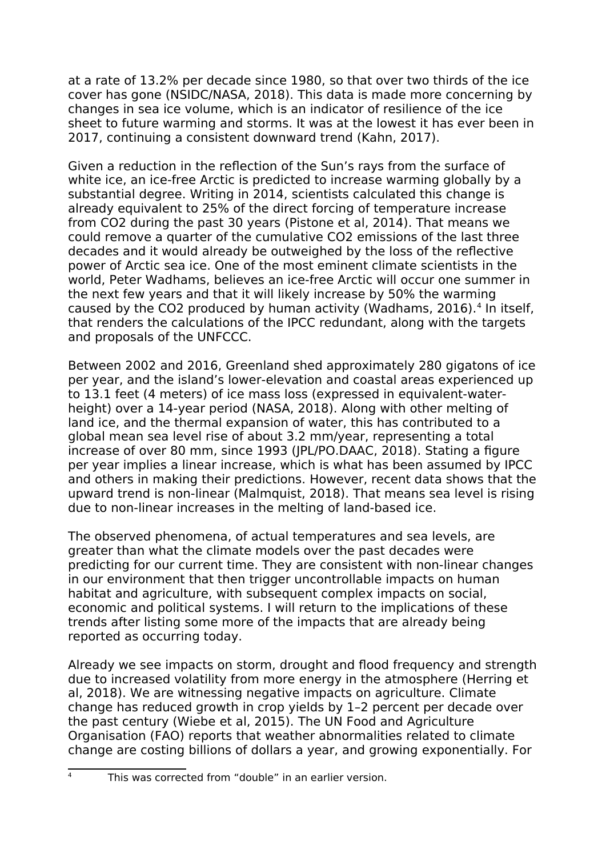at a rate of 13.2% per decade since 1980, so that over two thirds of the ice cover has gone (NSIDC/NASA, 2018). This data is made more concerning by changes in sea ice volume, which is an indicator of resilience of the ice sheet to future warming and storms. It was at the lowest it has ever been in 2017, continuing a consistent downward trend (Kahn, 2017).

Given a reduction in the reflection of the Sun's rays from the surface of white ice, an ice-free Arctic is predicted to increase warming globally by a substantial degree. Writing in 2014, scientists calculated this change is already equivalent to 25% of the direct forcing of temperature increase from CO2 during the past 30 years (Pistone et al, 2014). That means we could remove a quarter of the cumulative CO2 emissions of the last three decades and it would already be outweighed by the loss of the reflective power of Arctic sea ice. One of the most eminent climate scientists in the world, Peter Wadhams, believes an ice-free Arctic will occur one summer in the next few years and that it will likely increase by 50% the warming caused by the CO2 produced by human activity (Wadhams, 2016).<sup>[4](#page-6-0)</sup> In itself, that renders the calculations of the IPCC redundant, along with the targets and proposals of the UNFCCC.

Between 2002 and 2016, Greenland shed approximately 280 gigatons of ice per year, and the island's lower-elevation and coastal areas experienced up to 13.1 feet (4 meters) of ice mass loss (expressed in equivalent-waterheight) over a 14-year period (NASA, 2018). Along with other melting of land ice, and the thermal expansion of water, this has contributed to a global mean sea level rise of about 3.2 mm/year, representing a total increase of over 80 mm, since 1993 (JPL/PO.DAAC, 2018). Stating a figure per year implies a linear increase, which is what has been assumed by IPCC and others in making their predictions. However, recent data shows that the upward trend is non-linear (Malmquist, 2018). That means sea level is rising due to non-linear increases in the melting of land-based ice.

The observed phenomena, of actual temperatures and sea levels, are greater than what the climate models over the past decades were predicting for our current time. They are consistent with non-linear changes in our environment that then trigger uncontrollable impacts on human habitat and agriculture, with subsequent complex impacts on social, economic and political systems. I will return to the implications of these trends after listing some more of the impacts that are already being reported as occurring today.

Already we see impacts on storm, drought and flood frequency and strength due to increased volatility from more energy in the atmosphere (Herring et al, 2018). We are witnessing negative impacts on agriculture. Climate change has reduced growth in crop yields by 1–2 percent per decade over the past century (Wiebe et al, 2015). The UN Food and Agriculture Organisation (FAO) reports that weather abnormalities related to climate change are costing billions of dollars a year, and growing exponentially. For

<span id="page-6-0"></span> $\overline{4}$ This was corrected from "double" in an earlier version.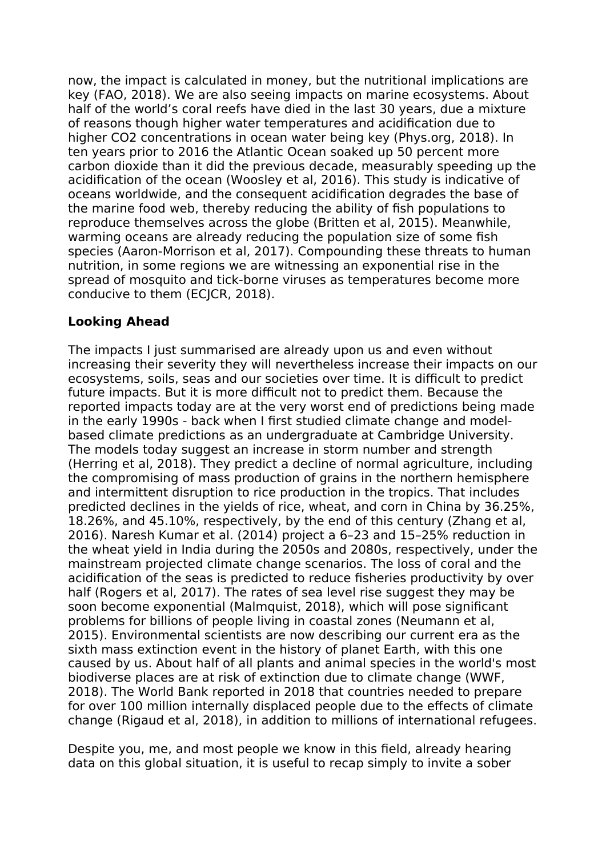now, the impact is calculated in money, but the nutritional implications are key (FAO, 2018). We are also seeing impacts on marine ecosystems. About half of the world's coral reefs have died in the last 30 years, due a mixture of reasons though higher water temperatures and acidification due to higher CO2 concentrations in ocean water being key (Phys.org, 2018). In ten years prior to 2016 the Atlantic Ocean soaked up 50 percent more carbon dioxide than it did the previous decade, measurably speeding up the acidification of the ocean (Woosley et al, 2016). This study is indicative of oceans worldwide, and the consequent acidification degrades the base of the marine food web, thereby reducing the ability of fish populations to reproduce themselves across the globe (Britten et al, 2015). Meanwhile, warming oceans are already reducing the population size of some fish species (Aaron-Morrison et al, 2017). Compounding these threats to human nutrition, in some regions we are witnessing an exponential rise in the spread of mosquito and tick-borne viruses as temperatures become more conducive to them (ECJCR, 2018).

#### **Looking Ahead**

The impacts I just summarised are already upon us and even without increasing their severity they will nevertheless increase their impacts on our ecosystems, soils, seas and our societies over time. It is difficult to predict future impacts. But it is more difficult not to predict them. Because the reported impacts today are at the very worst end of predictions being made in the early 1990s - back when I first studied climate change and modelbased climate predictions as an undergraduate at Cambridge University. The models today suggest an increase in storm number and strength (Herring et al, 2018). They predict a decline of normal agriculture, including the compromising of mass production of grains in the northern hemisphere and intermittent disruption to rice production in the tropics. That includes predicted declines in the yields of rice, wheat, and corn in China by 36.25%, 18.26%, and 45.10%, respectively, by the end of this century (Zhang et al, 2016). Naresh Kumar et al. (2014) project a 6–23 and 15–25% reduction in the wheat yield in India during the 2050s and 2080s, respectively, under the mainstream projected climate change scenarios. The loss of coral and the acidification of the seas is predicted to reduce fisheries productivity by over half (Rogers et al, 2017). The rates of sea level rise suggest they may be soon become exponential (Malmquist, 2018), which will pose significant problems for billions of people living in coastal zones (Neumann et al, 2015). Environmental scientists are now describing our current era as the sixth mass extinction event in the history of planet Earth, with this one caused by us. About half of all plants and animal species in the world's most biodiverse places are at risk of extinction due to climate change (WWF, 2018). The World Bank reported in 2018 that countries needed to prepare for over 100 million internally displaced people due to the effects of climate change (Rigaud et al, 2018), in addition to millions of international refugees.

Despite you, me, and most people we know in this field, already hearing data on this global situation, it is useful to recap simply to invite a sober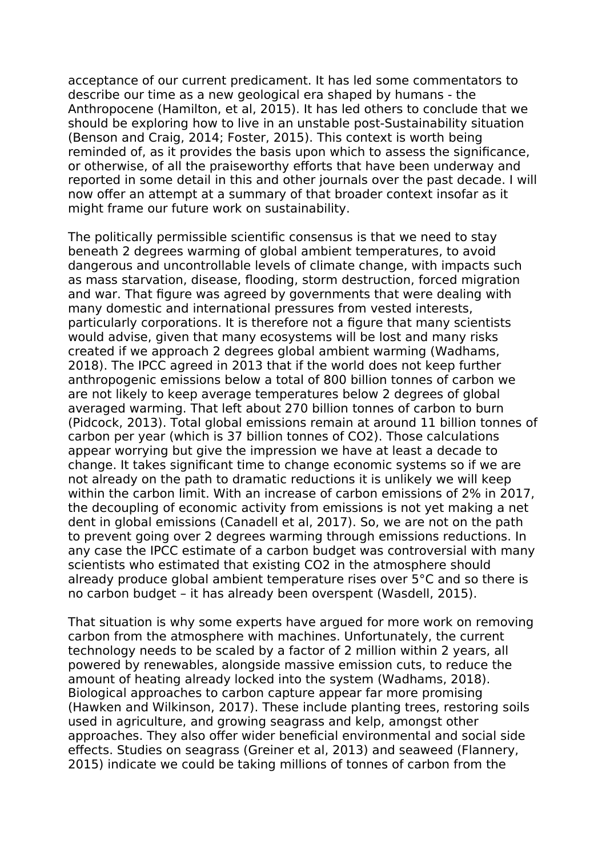acceptance of our current predicament. It has led some commentators to describe our time as a new geological era shaped by humans - the Anthropocene (Hamilton, et al, 2015). It has led others to conclude that we should be exploring how to live in an unstable post-Sustainability situation (Benson and Craig, 2014; Foster, 2015). This context is worth being reminded of, as it provides the basis upon which to assess the significance, or otherwise, of all the praiseworthy efforts that have been underway and reported in some detail in this and other journals over the past decade. I will now offer an attempt at a summary of that broader context insofar as it might frame our future work on sustainability.

The politically permissible scientific consensus is that we need to stay beneath 2 degrees warming of global ambient temperatures, to avoid dangerous and uncontrollable levels of climate change, with impacts such as mass starvation, disease, flooding, storm destruction, forced migration and war. That figure was agreed by governments that were dealing with many domestic and international pressures from vested interests, particularly corporations. It is therefore not a figure that many scientists would advise, given that many ecosystems will be lost and many risks created if we approach 2 degrees global ambient warming (Wadhams, 2018). The IPCC agreed in 2013 that if the world does not keep further anthropogenic emissions below a total of 800 billion tonnes of carbon we are not likely to keep average temperatures below 2 degrees of global averaged warming. That left about 270 billion tonnes of carbon to burn (Pidcock, 2013). Total global emissions remain at around 11 billion tonnes of carbon per year (which is 37 billion tonnes of CO2). Those calculations appear worrying but give the impression we have at least a decade to change. It takes significant time to change economic systems so if we are not already on the path to dramatic reductions it is unlikely we will keep within the carbon limit. With an increase of carbon emissions of 2% in 2017, the decoupling of economic activity from emissions is not yet making a net dent in global emissions (Canadell et al, 2017). So, we are not on the path to prevent going over 2 degrees warming through emissions reductions. In any case the IPCC estimate of a carbon budget was controversial with many scientists who estimated that existing CO2 in the atmosphere should already produce global ambient temperature rises over 5°C and so there is no carbon budget – it has already been overspent (Wasdell, 2015).

That situation is why some experts have argued for more work on removing carbon from the atmosphere with machines. Unfortunately, the current technology needs to be scaled by a factor of 2 million within 2 years, all powered by renewables, alongside massive emission cuts, to reduce the amount of heating already locked into the system (Wadhams, 2018). Biological approaches to carbon capture appear far more promising (Hawken and Wilkinson, 2017). These include planting trees, restoring soils used in agriculture, and growing seagrass and kelp, amongst other approaches. They also offer wider beneficial environmental and social side effects. Studies on seagrass (Greiner et al, 2013) and seaweed (Flannery, 2015) indicate we could be taking millions of tonnes of carbon from the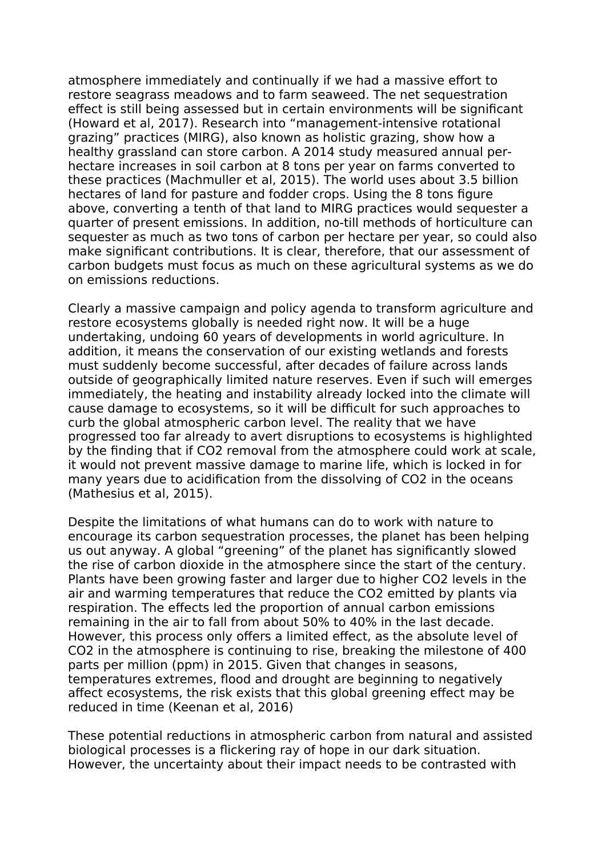atmosphere immediately and continually if we had a massive effort to restore seagrass meadows and to farm seaweed. The net sequestration effect is still being assessed but in certain environments will be significant (Howard et al, 2017). Research into "management-intensive rotational grazing" practices (MIRG), also known as holistic grazing, show how a healthy grassland can store carbon. A 2014 study measured annual perhectare increases in soil carbon at 8 tons per year on farms converted to these practices (Machmuller et al, 2015). The world uses about 3.5 billion hectares of land for pasture and fodder crops. Using the 8 tons figure above, converting a tenth of that land to MIRG practices would sequester a quarter of present emissions. In addition, no-till methods of horticulture can sequester as much as two tons of carbon per hectare per year, so could also make significant contributions. It is clear, therefore, that our assessment of carbon budgets must focus as much on these agricultural systems as we do on emissions reductions.

Clearly a massive campaign and policy agenda to transform agriculture and restore ecosystems globally is needed right now. It will be a huge undertaking, undoing 60 years of developments in world agriculture. In addition, it means the conservation of our existing wetlands and forests must suddenly become successful, after decades of failure across lands outside of geographically limited nature reserves. Even if such will emerges immediately, the heating and instability already locked into the climate will cause damage to ecosystems, so it will be difficult for such approaches to curb the global atmospheric carbon level. The reality that we have progressed too far already to avert disruptions to ecosystems is highlighted by the finding that if CO2 removal from the atmosphere could work at scale, it would not prevent massive damage to marine life, which is locked in for many years due to acidification from the dissolving of CO2 in the oceans (Mathesius et al, 2015).

Despite the limitations of what humans can do to work with nature to encourage its carbon sequestration processes, the planet has been helping us out anyway. A global "greening" of the planet has significantly slowed the rise of carbon dioxide in the atmosphere since the start of the century. Plants have been growing faster and larger due to higher CO2 levels in the air and warming temperatures that reduce the CO2 emitted by plants via respiration. The effects led the proportion of annual carbon emissions remaining in the air to fall from about 50% to 40% in the last decade. However, this process only offers a limited effect, as the absolute level of CO2 in the atmosphere is continuing to rise, breaking the milestone of 400 parts per million (ppm) in 2015. Given that changes in seasons, temperatures extremes, flood and drought are beginning to negatively affect ecosystems, the risk exists that this global greening effect may be reduced in time (Keenan et al, 2016)

These potential reductions in atmospheric carbon from natural and assisted biological processes is a flickering ray of hope in our dark situation. However, the uncertainty about their impact needs to be contrasted with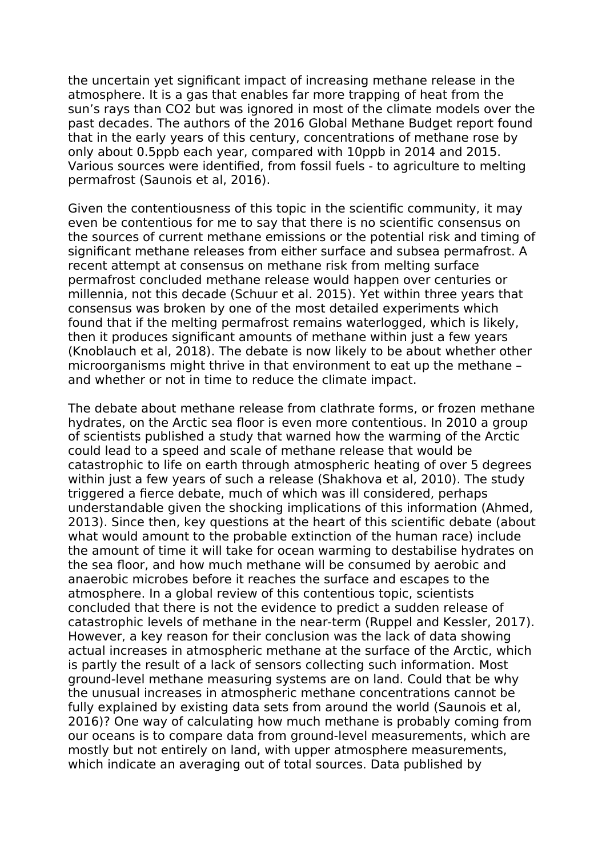the uncertain yet significant impact of increasing methane release in the atmosphere. It is a gas that enables far more trapping of heat from the sun's rays than CO2 but was ignored in most of the climate models over the past decades. The authors of the 2016 Global Methane Budget report found that in the early years of this century, concentrations of methane rose by only about 0.5ppb each year, compared with 10ppb in 2014 and 2015. Various sources were identified, from fossil fuels - to agriculture to melting permafrost (Saunois et al, 2016).

Given the contentiousness of this topic in the scientific community, it may even be contentious for me to say that there is no scientific consensus on the sources of current methane emissions or the potential risk and timing of significant methane releases from either surface and subsea permafrost. A recent attempt at consensus on methane risk from melting surface permafrost concluded methane release would happen over centuries or millennia, not this decade (Schuur et al. 2015). Yet within three years that consensus was broken by one of the most detailed experiments which found that if the melting permafrost remains waterlogged, which is likely, then it produces significant amounts of methane within just a few years (Knoblauch et al, 2018). The debate is now likely to be about whether other microorganisms might thrive in that environment to eat up the methane – and whether or not in time to reduce the climate impact.

The debate about methane release from clathrate forms, or frozen methane hydrates, on the Arctic sea floor is even more contentious. In 2010 a group of scientists published a study that warned how the warming of the Arctic could lead to a speed and scale of methane release that would be catastrophic to life on earth through atmospheric heating of over 5 degrees within just a few years of such a release (Shakhova et al, 2010). The study triggered a fierce debate, much of which was ill considered, perhaps understandable given the shocking implications of this information (Ahmed, 2013). Since then, key questions at the heart of this scientific debate (about what would amount to the probable extinction of the human race) include the amount of time it will take for ocean warming to destabilise hydrates on the sea floor, and how much methane will be consumed by aerobic and anaerobic microbes before it reaches the surface and escapes to the atmosphere. In a global review of this contentious topic, scientists concluded that there is not the evidence to predict a sudden release of catastrophic levels of methane in the near-term (Ruppel and Kessler, 2017). However, a key reason for their conclusion was the lack of data showing actual increases in atmospheric methane at the surface of the Arctic, which is partly the result of a lack of sensors collecting such information. Most ground-level methane measuring systems are on land. Could that be why the unusual increases in atmospheric methane concentrations cannot be fully explained by existing data sets from around the world (Saunois et al, 2016)? One way of calculating how much methane is probably coming from our oceans is to compare data from ground-level measurements, which are mostly but not entirely on land, with upper atmosphere measurements, which indicate an averaging out of total sources. Data published by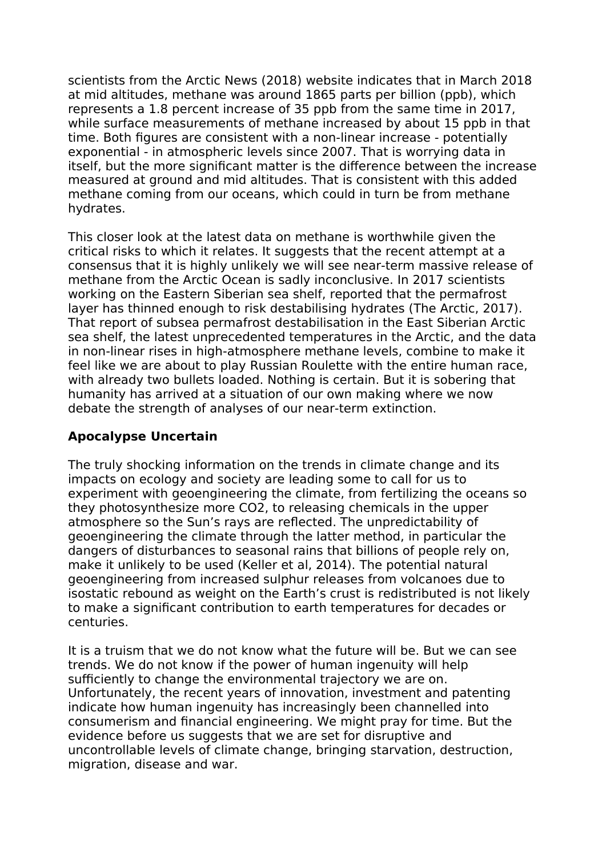scientists from the Arctic News (2018) website indicates that in March 2018 at mid altitudes, methane was around 1865 parts per billion (ppb), which represents a 1.8 percent increase of 35 ppb from the same time in 2017, while surface measurements of methane increased by about 15 ppb in that time. Both figures are consistent with a non-linear increase - potentially exponential - in atmospheric levels since 2007. That is worrying data in itself, but the more significant matter is the difference between the increase measured at ground and mid altitudes. That is consistent with this added methane coming from our oceans, which could in turn be from methane hydrates.

This closer look at the latest data on methane is worthwhile given the critical risks to which it relates. It suggests that the recent attempt at a consensus that it is highly unlikely we will see near-term massive release of methane from the Arctic Ocean is sadly inconclusive. In 2017 scientists working on the Eastern Siberian sea shelf, reported that the permafrost layer has thinned enough to risk destabilising hydrates (The Arctic, 2017). That report of subsea permafrost destabilisation in the East Siberian Arctic sea shelf, the latest unprecedented temperatures in the Arctic, and the data in non-linear rises in high-atmosphere methane levels, combine to make it feel like we are about to play Russian Roulette with the entire human race, with already two bullets loaded. Nothing is certain. But it is sobering that humanity has arrived at a situation of our own making where we now debate the strength of analyses of our near-term extinction.

## **Apocalypse Uncertain**

The truly shocking information on the trends in climate change and its impacts on ecology and society are leading some to call for us to experiment with geoengineering the climate, from fertilizing the oceans so they photosynthesize more CO2, to releasing chemicals in the upper atmosphere so the Sun's rays are reflected. The unpredictability of geoengineering the climate through the latter method, in particular the dangers of disturbances to seasonal rains that billions of people rely on, make it unlikely to be used (Keller et al, 2014). The potential natural geoengineering from increased sulphur releases from volcanoes due to isostatic rebound as weight on the Earth's crust is redistributed is not likely to make a significant contribution to earth temperatures for decades or centuries.

It is a truism that we do not know what the future will be. But we can see trends. We do not know if the power of human ingenuity will help sufficiently to change the environmental trajectory we are on. Unfortunately, the recent years of innovation, investment and patenting indicate how human ingenuity has increasingly been channelled into consumerism and financial engineering. We might pray for time. But the evidence before us suggests that we are set for disruptive and uncontrollable levels of climate change, bringing starvation, destruction, migration, disease and war.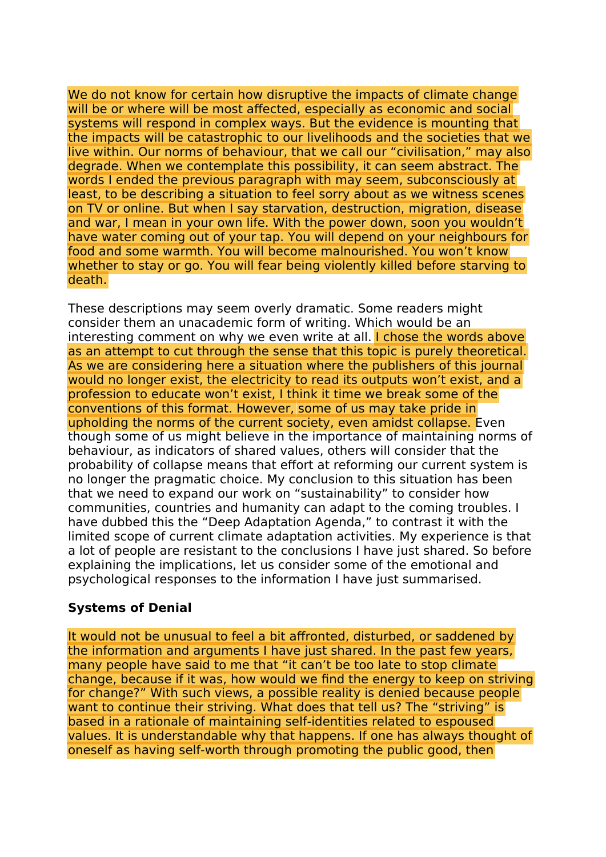We do not know for certain how disruptive the impacts of climate change will be or where will be most affected, especially as economic and social systems will respond in complex ways. But the evidence is mounting that the impacts will be catastrophic to our livelihoods and the societies that we live within. Our norms of behaviour, that we call our "civilisation," may also degrade. When we contemplate this possibility, it can seem abstract. The words I ended the previous paragraph with may seem, subconsciously at least, to be describing a situation to feel sorry about as we witness scenes on TV or online. But when I say starvation, destruction, migration, disease and war, I mean in your own life. With the power down, soon you wouldn't have water coming out of your tap. You will depend on your neighbours for food and some warmth. You will become malnourished. You won't know whether to stay or go. You will fear being violently killed before starving to death.

These descriptions may seem overly dramatic. Some readers might consider them an unacademic form of writing. Which would be an interesting comment on why we even write at all. I chose the words above as an attempt to cut through the sense that this topic is purely theoretical. As we are considering here a situation where the publishers of this journal would no longer exist, the electricity to read its outputs won't exist, and a profession to educate won't exist, I think it time we break some of the conventions of this format. However, some of us may take pride in upholding the norms of the current society, even amidst collapse. Even though some of us might believe in the importance of maintaining norms of behaviour, as indicators of shared values, others will consider that the probability of collapse means that effort at reforming our current system is no longer the pragmatic choice. My conclusion to this situation has been that we need to expand our work on "sustainability" to consider how communities, countries and humanity can adapt to the coming troubles. I have dubbed this the "Deep Adaptation Agenda," to contrast it with the limited scope of current climate adaptation activities. My experience is that a lot of people are resistant to the conclusions I have just shared. So before explaining the implications, let us consider some of the emotional and psychological responses to the information I have just summarised.

## **Systems of Denial**

It would not be unusual to feel a bit affronted, disturbed, or saddened by the information and arguments I have just shared. In the past few years, many people have said to me that "it can't be too late to stop climate change, because if it was, how would we find the energy to keep on striving for change?" With such views, a possible reality is denied because people want to continue their striving. What does that tell us? The "striving" is based in a rationale of maintaining self-identities related to espoused values. It is understandable why that happens. If one has always thought of oneself as having self-worth through promoting the public good, then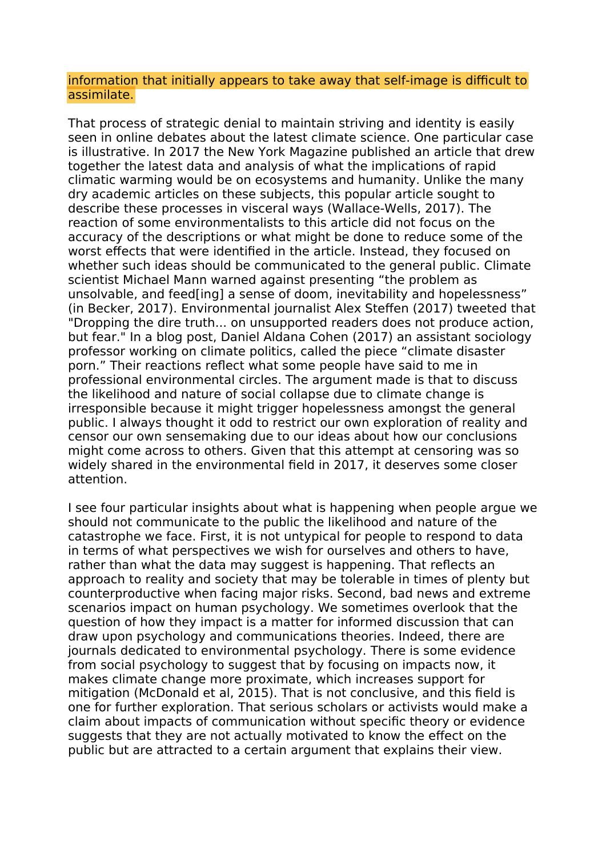#### information that initially appears to take away that self-image is difficult to assimilate.

That process of strategic denial to maintain striving and identity is easily seen in online debates about the latest climate science. One particular case is illustrative. In 2017 the New York Magazine published an article that drew together the latest data and analysis of what the implications of rapid climatic warming would be on ecosystems and humanity. Unlike the many dry academic articles on these subjects, this popular article sought to describe these processes in visceral ways (Wallace-Wells, 2017). The reaction of some environmentalists to this article did not focus on the accuracy of the descriptions or what might be done to reduce some of the worst effects that were identified in the article. Instead, they focused on whether such ideas should be communicated to the general public. Climate scientist Michael Mann warned against presenting "the problem as unsolvable, and feed[ing] a sense of doom, inevitability and hopelessness" (in Becker, 2017). Environmental journalist Alex Steffen (2017) tweeted that "Dropping the dire truth... on unsupported readers does not produce action, but fear." In a blog post, Daniel Aldana Cohen (2017) an assistant sociology professor working on climate politics, called the piece "climate disaster porn." Their reactions reflect what some people have said to me in professional environmental circles. The argument made is that to discuss the likelihood and nature of social collapse due to climate change is irresponsible because it might trigger hopelessness amongst the general public. I always thought it odd to restrict our own exploration of reality and censor our own sensemaking due to our ideas about how our conclusions might come across to others. Given that this attempt at censoring was so widely shared in the environmental field in 2017, it deserves some closer attention.

I see four particular insights about what is happening when people argue we should not communicate to the public the likelihood and nature of the catastrophe we face. First, it is not untypical for people to respond to data in terms of what perspectives we wish for ourselves and others to have, rather than what the data may suggest is happening. That reflects an approach to reality and society that may be tolerable in times of plenty but counterproductive when facing major risks. Second, bad news and extreme scenarios impact on human psychology. We sometimes overlook that the question of how they impact is a matter for informed discussion that can draw upon psychology and communications theories. Indeed, there are journals dedicated to environmental psychology. There is some evidence from social psychology to suggest that by focusing on impacts now, it makes climate change more proximate, which increases support for mitigation (McDonald et al, 2015). That is not conclusive, and this field is one for further exploration. That serious scholars or activists would make a claim about impacts of communication without specific theory or evidence suggests that they are not actually motivated to know the effect on the public but are attracted to a certain argument that explains their view.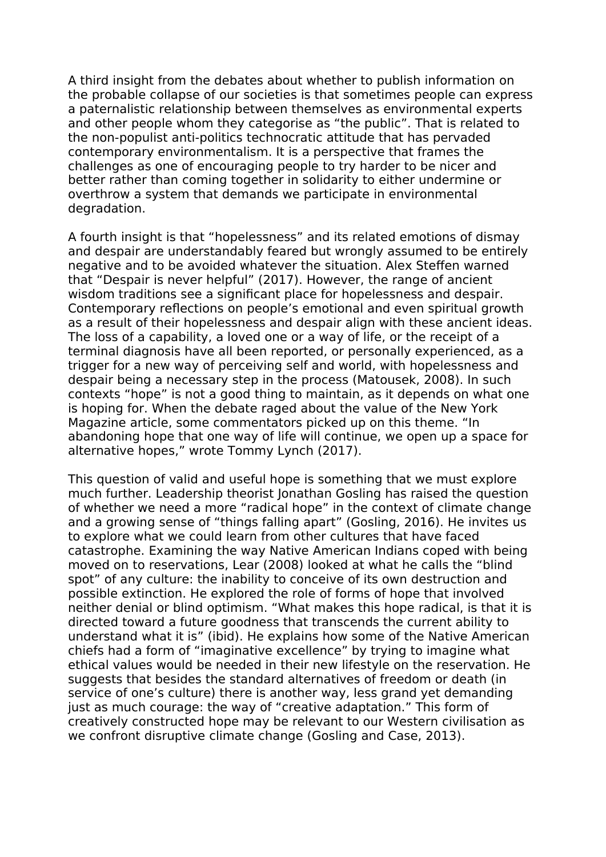A third insight from the debates about whether to publish information on the probable collapse of our societies is that sometimes people can express a paternalistic relationship between themselves as environmental experts and other people whom they categorise as "the public". That is related to the non-populist anti-politics technocratic attitude that has pervaded contemporary environmentalism. It is a perspective that frames the challenges as one of encouraging people to try harder to be nicer and better rather than coming together in solidarity to either undermine or overthrow a system that demands we participate in environmental degradation.

A fourth insight is that "hopelessness" and its related emotions of dismay and despair are understandably feared but wrongly assumed to be entirely negative and to be avoided whatever the situation. Alex Steffen warned that "Despair is never helpful" (2017). However, the range of ancient wisdom traditions see a significant place for hopelessness and despair. Contemporary reflections on people's emotional and even spiritual growth as a result of their hopelessness and despair align with these ancient ideas. The loss of a capability, a loved one or a way of life, or the receipt of a terminal diagnosis have all been reported, or personally experienced, as a trigger for a new way of perceiving self and world, with hopelessness and despair being a necessary step in the process (Matousek, 2008). In such contexts "hope" is not a good thing to maintain, as it depends on what one is hoping for. When the debate raged about the value of the New York Magazine article, some commentators picked up on this theme. "In abandoning hope that one way of life will continue, we open up a space for alternative hopes," wrote Tommy Lynch (2017).

This question of valid and useful hope is something that we must explore much further. Leadership theorist Jonathan Gosling has raised the question of whether we need a more "radical hope" in the context of climate change and a growing sense of "things falling apart" (Gosling, 2016). He invites us to explore what we could learn from other cultures that have faced catastrophe. Examining the way Native American Indians coped with being moved on to reservations, Lear (2008) looked at what he calls the "blind spot" of any culture: the inability to conceive of its own destruction and possible extinction. He explored the role of forms of hope that involved neither denial or blind optimism. "What makes this hope radical, is that it is directed toward a future goodness that transcends the current ability to understand what it is" (ibid). He explains how some of the Native American chiefs had a form of "imaginative excellence" by trying to imagine what ethical values would be needed in their new lifestyle on the reservation. He suggests that besides the standard alternatives of freedom or death (in service of one's culture) there is another way, less grand yet demanding just as much courage: the way of "creative adaptation." This form of creatively constructed hope may be relevant to our Western civilisation as we confront disruptive climate change (Gosling and Case, 2013).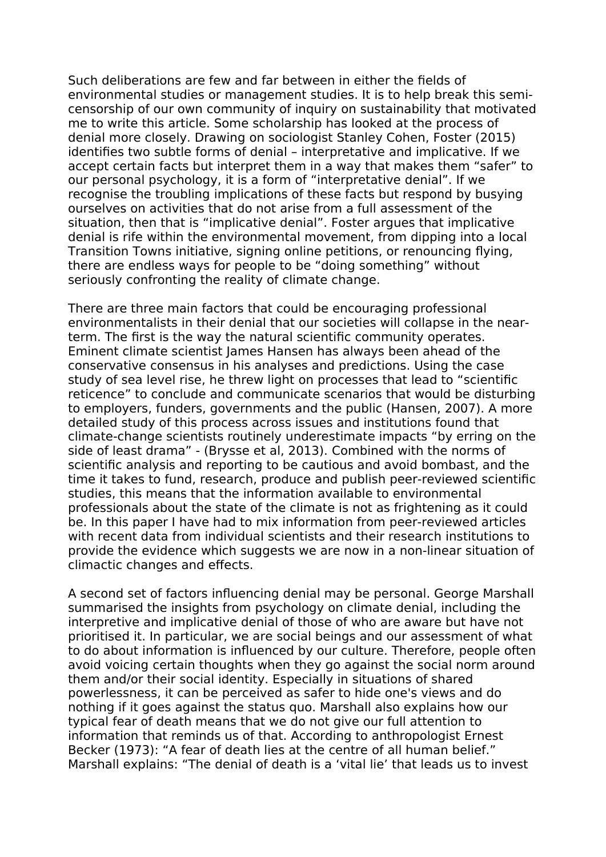Such deliberations are few and far between in either the fields of environmental studies or management studies. It is to help break this semicensorship of our own community of inquiry on sustainability that motivated me to write this article. Some scholarship has looked at the process of denial more closely. Drawing on sociologist Stanley Cohen, Foster (2015) identifies two subtle forms of denial – interpretative and implicative. If we accept certain facts but interpret them in a way that makes them "safer" to our personal psychology, it is a form of "interpretative denial". If we recognise the troubling implications of these facts but respond by busying ourselves on activities that do not arise from a full assessment of the situation, then that is "implicative denial". Foster argues that implicative denial is rife within the environmental movement, from dipping into a local Transition Towns initiative, signing online petitions, or renouncing flying, there are endless ways for people to be "doing something" without seriously confronting the reality of climate change.

There are three main factors that could be encouraging professional environmentalists in their denial that our societies will collapse in the nearterm. The first is the way the natural scientific community operates. Eminent climate scientist James Hansen has always been ahead of the conservative consensus in his analyses and predictions. Using the case study of sea level rise, he threw light on processes that lead to "scientific reticence" to conclude and communicate scenarios that would be disturbing to employers, funders, governments and the public (Hansen, 2007). A more detailed study of this process across issues and institutions found that climate-change scientists routinely underestimate impacts "by erring on the side of least drama" - (Brysse et al, 2013). Combined with the norms of scientific analysis and reporting to be cautious and avoid bombast, and the time it takes to fund, research, produce and publish peer-reviewed scientific studies, this means that the information available to environmental professionals about the state of the climate is not as frightening as it could be. In this paper I have had to mix information from peer-reviewed articles with recent data from individual scientists and their research institutions to provide the evidence which suggests we are now in a non-linear situation of climactic changes and effects.

A second set of factors influencing denial may be personal. George Marshall summarised the insights from psychology on climate denial, including the interpretive and implicative denial of those of who are aware but have not prioritised it. In particular, we are social beings and our assessment of what to do about information is influenced by our culture. Therefore, people often avoid voicing certain thoughts when they go against the social norm around them and/or their social identity. Especially in situations of shared powerlessness, it can be perceived as safer to hide one's views and do nothing if it goes against the status quo. Marshall also explains how our typical fear of death means that we do not give our full attention to information that reminds us of that. According to anthropologist Ernest Becker (1973): "A fear of death lies at the centre of all human belief." Marshall explains: "The denial of death is a 'vital lie' that leads us to invest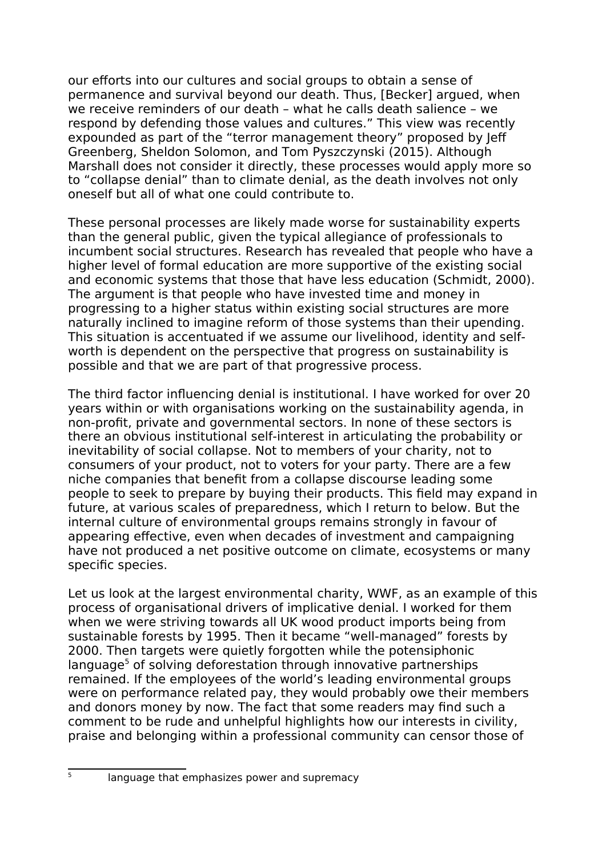our efforts into our cultures and social groups to obtain a sense of permanence and survival beyond our death. Thus, [Becker] argued, when we receive reminders of our death – what he calls death salience – we respond by defending those values and cultures." This view was recently expounded as part of the "terror management theory" proposed by Jeff Greenberg, Sheldon Solomon, and Tom Pyszczynski (2015). Although Marshall does not consider it directly, these processes would apply more so to "collapse denial" than to climate denial, as the death involves not only oneself but all of what one could contribute to.

These personal processes are likely made worse for sustainability experts than the general public, given the typical allegiance of professionals to incumbent social structures. Research has revealed that people who have a higher level of formal education are more supportive of the existing social and economic systems that those that have less education (Schmidt, 2000). The argument is that people who have invested time and money in progressing to a higher status within existing social structures are more naturally inclined to imagine reform of those systems than their upending. This situation is accentuated if we assume our livelihood, identity and selfworth is dependent on the perspective that progress on sustainability is possible and that we are part of that progressive process.

The third factor influencing denial is institutional. I have worked for over 20 years within or with organisations working on the sustainability agenda, in non-profit, private and governmental sectors. In none of these sectors is there an obvious institutional self-interest in articulating the probability or inevitability of social collapse. Not to members of your charity, not to consumers of your product, not to voters for your party. There are a few niche companies that benefit from a collapse discourse leading some people to seek to prepare by buying their products. This field may expand in future, at various scales of preparedness, which I return to below. But the internal culture of environmental groups remains strongly in favour of appearing effective, even when decades of investment and campaigning have not produced a net positive outcome on climate, ecosystems or many specific species.

Let us look at the largest environmental charity, WWF, as an example of this process of organisational drivers of implicative denial. I worked for them when we were striving towards all UK wood product imports being from sustainable forests by 1995. Then it became "well-managed" forests by 2000. Then targets were quietly forgotten while the potensiphonic language<sup>[5](#page-16-0)</sup> of solving deforestation through innovative partnerships remained. If the employees of the world's leading environmental groups were on performance related pay, they would probably owe their members and donors money by now. The fact that some readers may find such a comment to be rude and unhelpful highlights how our interests in civility, praise and belonging within a professional community can censor those of

<span id="page-16-0"></span> $\overline{5}$ 

language that emphasizes power and supremacy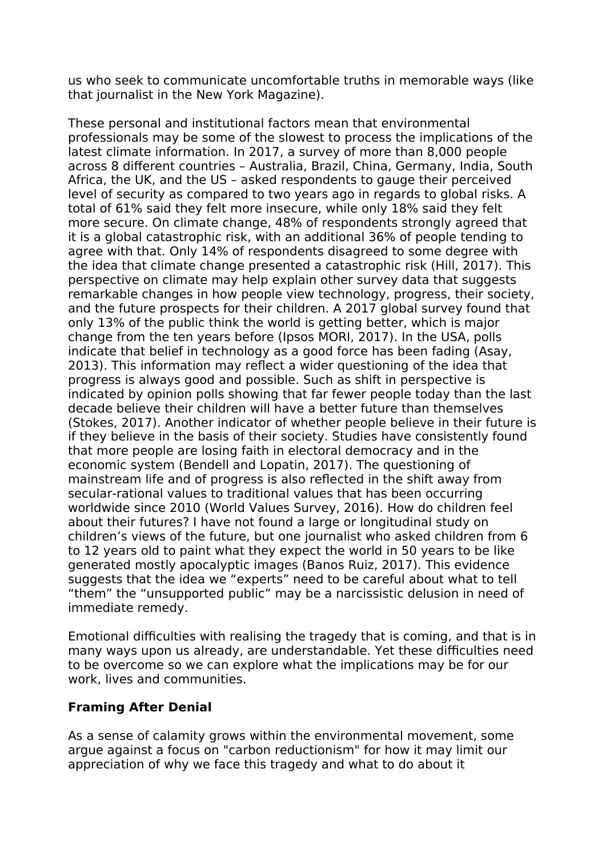us who seek to communicate uncomfortable truths in memorable ways (like that journalist in the New York Magazine).

These personal and institutional factors mean that environmental professionals may be some of the slowest to process the implications of the latest climate information. In 2017, a survey of more than 8,000 people across 8 different countries – Australia, Brazil, China, Germany, India, South Africa, the UK, and the US – asked respondents to gauge their perceived level of security as compared to two years ago in regards to global risks. A total of 61% said they felt more insecure, while only 18% said they felt more secure. On climate change, 48% of respondents strongly agreed that it is a global catastrophic risk, with an additional 36% of people tending to agree with that. Only 14% of respondents disagreed to some degree with the idea that climate change presented a catastrophic risk (Hill, 2017). This perspective on climate may help explain other survey data that suggests remarkable changes in how people view technology, progress, their society, and the future prospects for their children. A 2017 global survey found that only 13% of the public think the world is getting better, which is major change from the ten years before (Ipsos MORI, 2017). In the USA, polls indicate that belief in technology as a good force has been fading (Asay, 2013). This information may reflect a wider questioning of the idea that progress is always good and possible. Such as shift in perspective is indicated by opinion polls showing that far fewer people today than the last decade believe their children will have a better future than themselves (Stokes, 2017). Another indicator of whether people believe in their future is if they believe in the basis of their society. Studies have consistently found that more people are losing faith in electoral democracy and in the economic system (Bendell and Lopatin, 2017). The questioning of mainstream life and of progress is also reflected in the shift away from secular-rational values to traditional values that has been occurring worldwide since 2010 (World Values Survey, 2016). How do children feel about their futures? I have not found a large or longitudinal study on children's views of the future, but one journalist who asked children from 6 to 12 years old to paint what they expect the world in 50 years to be like generated mostly apocalyptic images (Banos Ruiz, 2017). This evidence suggests that the idea we "experts" need to be careful about what to tell "them" the "unsupported public" may be a narcissistic delusion in need of immediate remedy.

Emotional difficulties with realising the tragedy that is coming, and that is in many ways upon us already, are understandable. Yet these difficulties need to be overcome so we can explore what the implications may be for our work, lives and communities.

#### **Framing After Denial**

As a sense of calamity grows within the environmental movement, some argue against a focus on "carbon reductionism" for how it may limit our appreciation of why we face this tragedy and what to do about it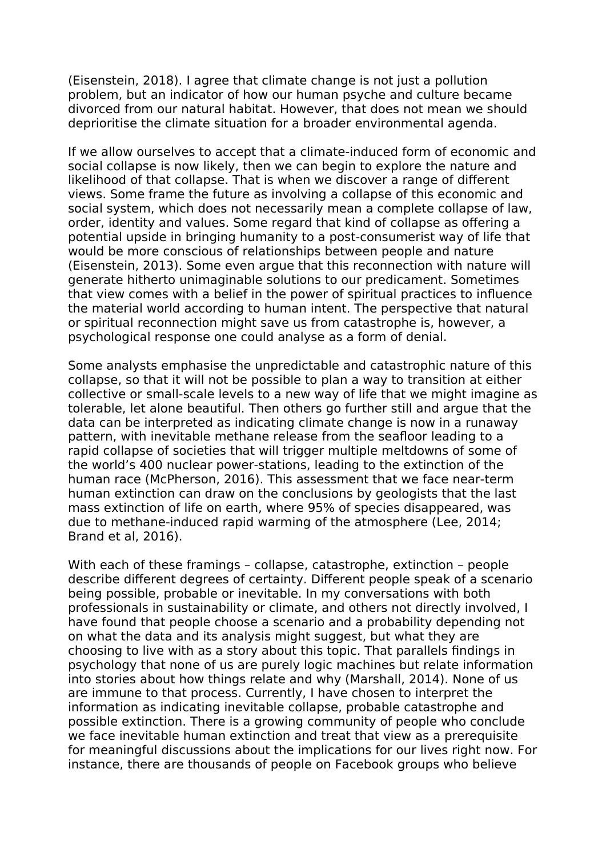(Eisenstein, 2018). I agree that climate change is not just a pollution problem, but an indicator of how our human psyche and culture became divorced from our natural habitat. However, that does not mean we should deprioritise the climate situation for a broader environmental agenda.

If we allow ourselves to accept that a climate-induced form of economic and social collapse is now likely, then we can begin to explore the nature and likelihood of that collapse. That is when we discover a range of different views. Some frame the future as involving a collapse of this economic and social system, which does not necessarily mean a complete collapse of law, order, identity and values. Some regard that kind of collapse as offering a potential upside in bringing humanity to a post-consumerist way of life that would be more conscious of relationships between people and nature (Eisenstein, 2013). Some even argue that this reconnection with nature will generate hitherto unimaginable solutions to our predicament. Sometimes that view comes with a belief in the power of spiritual practices to influence the material world according to human intent. The perspective that natural or spiritual reconnection might save us from catastrophe is, however, a psychological response one could analyse as a form of denial.

Some analysts emphasise the unpredictable and catastrophic nature of this collapse, so that it will not be possible to plan a way to transition at either collective or small-scale levels to a new way of life that we might imagine as tolerable, let alone beautiful. Then others go further still and argue that the data can be interpreted as indicating climate change is now in a runaway pattern, with inevitable methane release from the seafloor leading to a rapid collapse of societies that will trigger multiple meltdowns of some of the world's 400 nuclear power-stations, leading to the extinction of the human race (McPherson, 2016). This assessment that we face near-term human extinction can draw on the conclusions by geologists that the last mass extinction of life on earth, where 95% of species disappeared, was due to methane-induced rapid warming of the atmosphere (Lee, 2014; Brand et al, 2016).

With each of these framings – collapse, catastrophe, extinction – people describe different degrees of certainty. Different people speak of a scenario being possible, probable or inevitable. In my conversations with both professionals in sustainability or climate, and others not directly involved, I have found that people choose a scenario and a probability depending not on what the data and its analysis might suggest, but what they are choosing to live with as a story about this topic. That parallels findings in psychology that none of us are purely logic machines but relate information into stories about how things relate and why (Marshall, 2014). None of us are immune to that process. Currently, I have chosen to interpret the information as indicating inevitable collapse, probable catastrophe and possible extinction. There is a growing community of people who conclude we face inevitable human extinction and treat that view as a prerequisite for meaningful discussions about the implications for our lives right now. For instance, there are thousands of people on Facebook groups who believe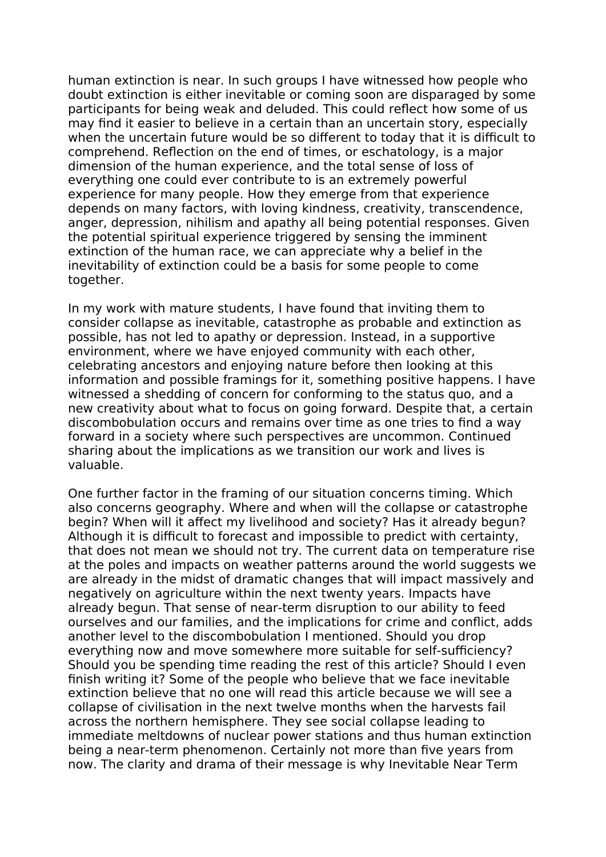human extinction is near. In such groups I have witnessed how people who doubt extinction is either inevitable or coming soon are disparaged by some participants for being weak and deluded. This could reflect how some of us may find it easier to believe in a certain than an uncertain story, especially when the uncertain future would be so different to today that it is difficult to comprehend. Reflection on the end of times, or eschatology, is a major dimension of the human experience, and the total sense of loss of everything one could ever contribute to is an extremely powerful experience for many people. How they emerge from that experience depends on many factors, with loving kindness, creativity, transcendence, anger, depression, nihilism and apathy all being potential responses. Given the potential spiritual experience triggered by sensing the imminent extinction of the human race, we can appreciate why a belief in the inevitability of extinction could be a basis for some people to come together.

In my work with mature students, I have found that inviting them to consider collapse as inevitable, catastrophe as probable and extinction as possible, has not led to apathy or depression. Instead, in a supportive environment, where we have enjoyed community with each other, celebrating ancestors and enjoying nature before then looking at this information and possible framings for it, something positive happens. I have witnessed a shedding of concern for conforming to the status quo, and a new creativity about what to focus on going forward. Despite that, a certain discombobulation occurs and remains over time as one tries to find a way forward in a society where such perspectives are uncommon. Continued sharing about the implications as we transition our work and lives is valuable.

One further factor in the framing of our situation concerns timing. Which also concerns geography. Where and when will the collapse or catastrophe begin? When will it affect my livelihood and society? Has it already begun? Although it is difficult to forecast and impossible to predict with certainty, that does not mean we should not try. The current data on temperature rise at the poles and impacts on weather patterns around the world suggests we are already in the midst of dramatic changes that will impact massively and negatively on agriculture within the next twenty years. Impacts have already begun. That sense of near-term disruption to our ability to feed ourselves and our families, and the implications for crime and conflict, adds another level to the discombobulation I mentioned. Should you drop everything now and move somewhere more suitable for self-sufficiency? Should you be spending time reading the rest of this article? Should I even finish writing it? Some of the people who believe that we face inevitable extinction believe that no one will read this article because we will see a collapse of civilisation in the next twelve months when the harvests fail across the northern hemisphere. They see social collapse leading to immediate meltdowns of nuclear power stations and thus human extinction being a near-term phenomenon. Certainly not more than five years from now. The clarity and drama of their message is why Inevitable Near Term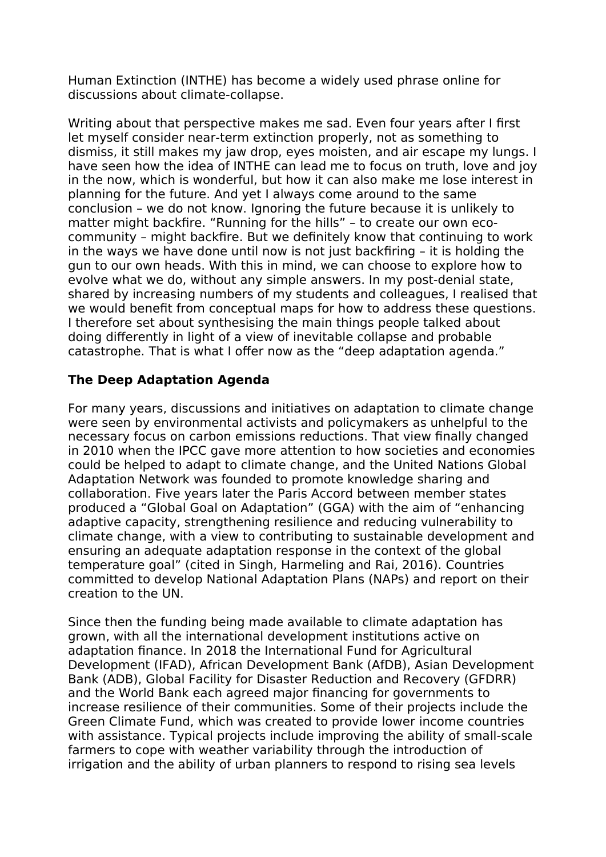Human Extinction (INTHE) has become a widely used phrase online for discussions about climate-collapse.

Writing about that perspective makes me sad. Even four years after I first let myself consider near-term extinction properly, not as something to dismiss, it still makes my jaw drop, eyes moisten, and air escape my lungs. I have seen how the idea of INTHE can lead me to focus on truth, love and joy in the now, which is wonderful, but how it can also make me lose interest in planning for the future. And yet I always come around to the same conclusion – we do not know. Ignoring the future because it is unlikely to matter might backfire. "Running for the hills" – to create our own ecocommunity – might backfire. But we definitely know that continuing to work in the ways we have done until now is not just backfiring – it is holding the gun to our own heads. With this in mind, we can choose to explore how to evolve what we do, without any simple answers. In my post-denial state, shared by increasing numbers of my students and colleagues, I realised that we would benefit from conceptual maps for how to address these questions. I therefore set about synthesising the main things people talked about doing differently in light of a view of inevitable collapse and probable catastrophe. That is what I offer now as the "deep adaptation agenda."

## **The Deep Adaptation Agenda**

For many years, discussions and initiatives on adaptation to climate change were seen by environmental activists and policymakers as unhelpful to the necessary focus on carbon emissions reductions. That view finally changed in 2010 when the IPCC gave more attention to how societies and economies could be helped to adapt to climate change, and the United Nations Global Adaptation Network was founded to promote knowledge sharing and collaboration. Five years later the Paris Accord between member states produced a "Global Goal on Adaptation" (GGA) with the aim of "enhancing adaptive capacity, strengthening resilience and reducing vulnerability to climate change, with a view to contributing to sustainable development and ensuring an adequate adaptation response in the context of the global temperature goal" (cited in Singh, Harmeling and Rai, 2016). Countries committed to develop National Adaptation Plans (NAPs) and report on their creation to the UN.

Since then the funding being made available to climate adaptation has grown, with all the international development institutions active on adaptation finance. In 2018 the International Fund for Agricultural Development (IFAD), African Development Bank (AfDB), Asian Development Bank (ADB), Global Facility for Disaster Reduction and Recovery (GFDRR) and the World Bank each agreed major financing for governments to increase resilience of their communities. Some of their projects include the Green Climate Fund, which was created to provide lower income countries with assistance. Typical projects include improving the ability of small-scale farmers to cope with weather variability through the introduction of irrigation and the ability of urban planners to respond to rising sea levels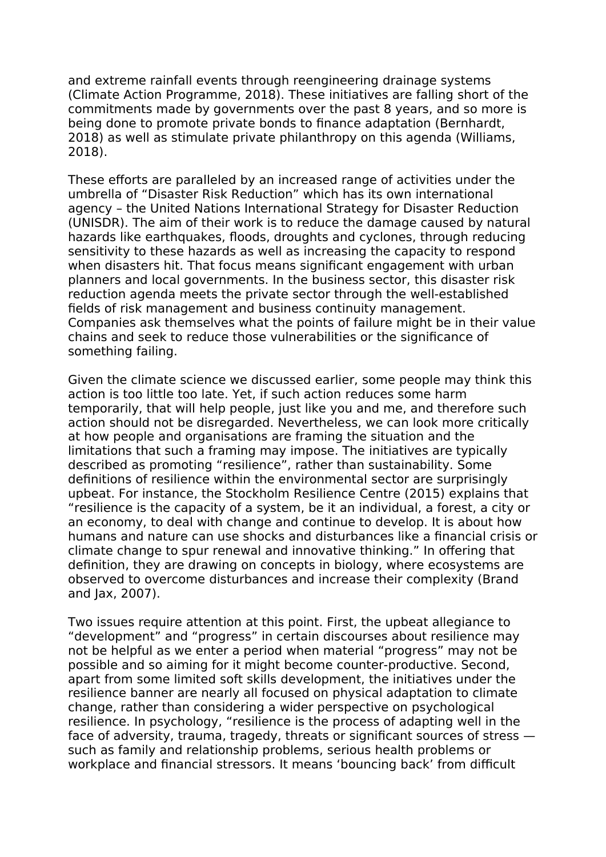and extreme rainfall events through reengineering drainage systems (Climate Action Programme, 2018). These initiatives are falling short of the commitments made by governments over the past 8 years, and so more is being done to promote private bonds to finance adaptation (Bernhardt, 2018) as well as stimulate private philanthropy on this agenda (Williams, 2018).

These efforts are paralleled by an increased range of activities under the umbrella of "Disaster Risk Reduction" which has its own international agency – the United Nations International Strategy for Disaster Reduction (UNISDR). The aim of their work is to reduce the damage caused by natural hazards like earthquakes, floods, droughts and cyclones, through reducing sensitivity to these hazards as well as increasing the capacity to respond when disasters hit. That focus means significant engagement with urban planners and local governments. In the business sector, this disaster risk reduction agenda meets the private sector through the well-established fields of risk management and business continuity management. Companies ask themselves what the points of failure might be in their value chains and seek to reduce those vulnerabilities or the significance of something failing.

Given the climate science we discussed earlier, some people may think this action is too little too late. Yet, if such action reduces some harm temporarily, that will help people, just like you and me, and therefore such action should not be disregarded. Nevertheless, we can look more critically at how people and organisations are framing the situation and the limitations that such a framing may impose. The initiatives are typically described as promoting "resilience", rather than sustainability. Some definitions of resilience within the environmental sector are surprisingly upbeat. For instance, the Stockholm Resilience Centre (2015) explains that "resilience is the capacity of a system, be it an individual, a forest, a city or an economy, to deal with change and continue to develop. It is about how humans and nature can use shocks and disturbances like a financial crisis or climate change to spur renewal and innovative thinking." In offering that definition, they are drawing on concepts in biology, where ecosystems are observed to overcome disturbances and increase their complexity (Brand and Jax, 2007).

Two issues require attention at this point. First, the upbeat allegiance to "development" and "progress" in certain discourses about resilience may not be helpful as we enter a period when material "progress" may not be possible and so aiming for it might become counter-productive. Second, apart from some limited soft skills development, the initiatives under the resilience banner are nearly all focused on physical adaptation to climate change, rather than considering a wider perspective on psychological resilience. In psychology, "resilience is the process of adapting well in the face of adversity, trauma, tragedy, threats or significant sources of stress such as family and relationship problems, serious health problems or workplace and financial stressors. It means 'bouncing back' from difficult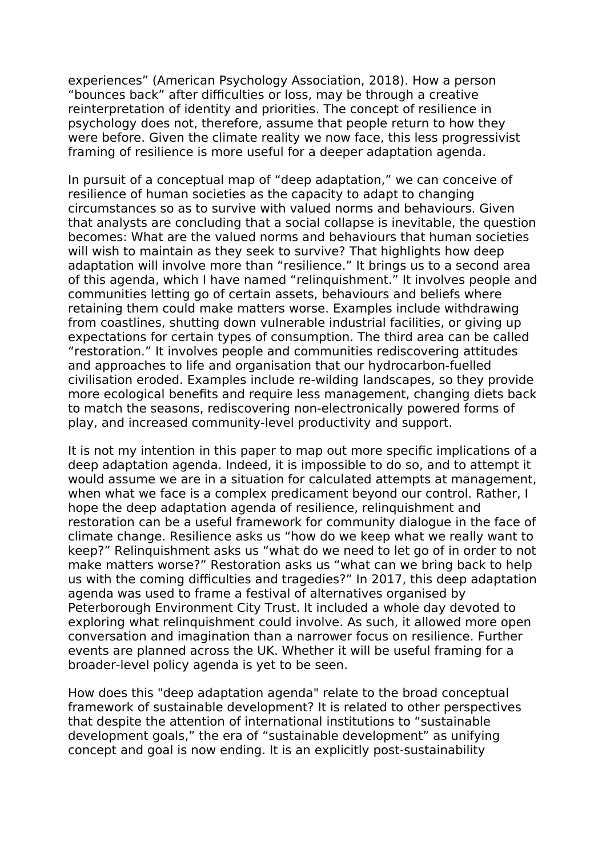experiences" (American Psychology Association, 2018). How a person "bounces back" after difficulties or loss, may be through a creative reinterpretation of identity and priorities. The concept of resilience in psychology does not, therefore, assume that people return to how they were before. Given the climate reality we now face, this less progressivist framing of resilience is more useful for a deeper adaptation agenda.

In pursuit of a conceptual map of "deep adaptation," we can conceive of resilience of human societies as the capacity to adapt to changing circumstances so as to survive with valued norms and behaviours. Given that analysts are concluding that a social collapse is inevitable, the question becomes: What are the valued norms and behaviours that human societies will wish to maintain as they seek to survive? That highlights how deep adaptation will involve more than "resilience." It brings us to a second area of this agenda, which I have named "relinquishment." It involves people and communities letting go of certain assets, behaviours and beliefs where retaining them could make matters worse. Examples include withdrawing from coastlines, shutting down vulnerable industrial facilities, or giving up expectations for certain types of consumption. The third area can be called "restoration." It involves people and communities rediscovering attitudes and approaches to life and organisation that our hydrocarbon-fuelled civilisation eroded. Examples include re-wilding landscapes, so they provide more ecological benefits and require less management, changing diets back to match the seasons, rediscovering non-electronically powered forms of play, and increased community-level productivity and support.

It is not my intention in this paper to map out more specific implications of a deep adaptation agenda. Indeed, it is impossible to do so, and to attempt it would assume we are in a situation for calculated attempts at management, when what we face is a complex predicament beyond our control. Rather, I hope the deep adaptation agenda of resilience, relinquishment and restoration can be a useful framework for community dialogue in the face of climate change. Resilience asks us "how do we keep what we really want to keep?" Relinquishment asks us "what do we need to let go of in order to not make matters worse?" Restoration asks us "what can we bring back to help us with the coming difficulties and tragedies?" In 2017, this deep adaptation agenda was used to frame a festival of alternatives organised by Peterborough Environment City Trust. It included a whole day devoted to exploring what relinquishment could involve. As such, it allowed more open conversation and imagination than a narrower focus on resilience. Further events are planned across the UK. Whether it will be useful framing for a broader-level policy agenda is yet to be seen.

How does this "deep adaptation agenda" relate to the broad conceptual framework of sustainable development? It is related to other perspectives that despite the attention of international institutions to "sustainable development goals," the era of "sustainable development" as unifying concept and goal is now ending. It is an explicitly post-sustainability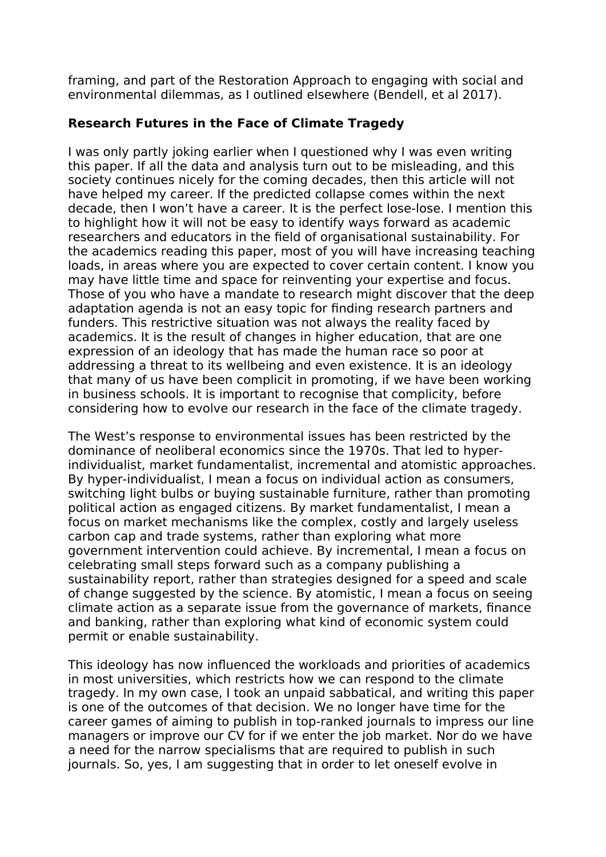framing, and part of the Restoration Approach to engaging with social and environmental dilemmas, as I outlined elsewhere (Bendell, et al 2017).

#### **Research Futures in the Face of Climate Tragedy**

I was only partly joking earlier when I questioned why I was even writing this paper. If all the data and analysis turn out to be misleading, and this society continues nicely for the coming decades, then this article will not have helped my career. If the predicted collapse comes within the next decade, then I won't have a career. It is the perfect lose-lose. I mention this to highlight how it will not be easy to identify ways forward as academic researchers and educators in the field of organisational sustainability. For the academics reading this paper, most of you will have increasing teaching loads, in areas where you are expected to cover certain content. I know you may have little time and space for reinventing your expertise and focus. Those of you who have a mandate to research might discover that the deep adaptation agenda is not an easy topic for finding research partners and funders. This restrictive situation was not always the reality faced by academics. It is the result of changes in higher education, that are one expression of an ideology that has made the human race so poor at addressing a threat to its wellbeing and even existence. It is an ideology that many of us have been complicit in promoting, if we have been working in business schools. It is important to recognise that complicity, before considering how to evolve our research in the face of the climate tragedy.

The West's response to environmental issues has been restricted by the dominance of neoliberal economics since the 1970s. That led to hyperindividualist, market fundamentalist, incremental and atomistic approaches. By hyper-individualist, I mean a focus on individual action as consumers, switching light bulbs or buying sustainable furniture, rather than promoting political action as engaged citizens. By market fundamentalist, I mean a focus on market mechanisms like the complex, costly and largely useless carbon cap and trade systems, rather than exploring what more government intervention could achieve. By incremental, I mean a focus on celebrating small steps forward such as a company publishing a sustainability report, rather than strategies designed for a speed and scale of change suggested by the science. By atomistic, I mean a focus on seeing climate action as a separate issue from the governance of markets, finance and banking, rather than exploring what kind of economic system could permit or enable sustainability.

This ideology has now influenced the workloads and priorities of academics in most universities, which restricts how we can respond to the climate tragedy. In my own case, I took an unpaid sabbatical, and writing this paper is one of the outcomes of that decision. We no longer have time for the career games of aiming to publish in top-ranked journals to impress our line managers or improve our CV for if we enter the job market. Nor do we have a need for the narrow specialisms that are required to publish in such journals. So, yes, I am suggesting that in order to let oneself evolve in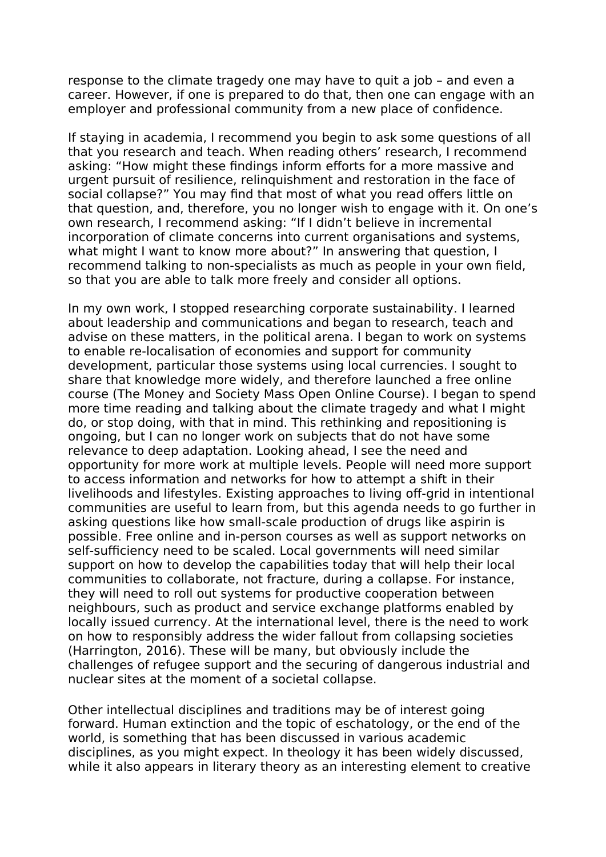response to the climate tragedy one may have to quit a job – and even a career. However, if one is prepared to do that, then one can engage with an employer and professional community from a new place of confidence.

If staying in academia, I recommend you begin to ask some questions of all that you research and teach. When reading others' research, I recommend asking: "How might these findings inform efforts for a more massive and urgent pursuit of resilience, relinquishment and restoration in the face of social collapse?" You may find that most of what you read offers little on that question, and, therefore, you no longer wish to engage with it. On one's own research, I recommend asking: "If I didn't believe in incremental incorporation of climate concerns into current organisations and systems, what might I want to know more about?" In answering that question, I recommend talking to non-specialists as much as people in your own field, so that you are able to talk more freely and consider all options.

In my own work, I stopped researching corporate sustainability. I learned about leadership and communications and began to research, teach and advise on these matters, in the political arena. I began to work on systems to enable re-localisation of economies and support for community development, particular those systems using local currencies. I sought to share that knowledge more widely, and therefore launched a free online course (The Money and Society Mass Open Online Course). I began to spend more time reading and talking about the climate tragedy and what I might do, or stop doing, with that in mind. This rethinking and repositioning is ongoing, but I can no longer work on subjects that do not have some relevance to deep adaptation. Looking ahead, I see the need and opportunity for more work at multiple levels. People will need more support to access information and networks for how to attempt a shift in their livelihoods and lifestyles. Existing approaches to living off-grid in intentional communities are useful to learn from, but this agenda needs to go further in asking questions like how small-scale production of drugs like aspirin is possible. Free online and in-person courses as well as support networks on self-sufficiency need to be scaled. Local governments will need similar support on how to develop the capabilities today that will help their local communities to collaborate, not fracture, during a collapse. For instance, they will need to roll out systems for productive cooperation between neighbours, such as product and service exchange platforms enabled by locally issued currency. At the international level, there is the need to work on how to responsibly address the wider fallout from collapsing societies (Harrington, 2016). These will be many, but obviously include the challenges of refugee support and the securing of dangerous industrial and nuclear sites at the moment of a societal collapse.

Other intellectual disciplines and traditions may be of interest going forward. Human extinction and the topic of eschatology, or the end of the world, is something that has been discussed in various academic disciplines, as you might expect. In theology it has been widely discussed, while it also appears in literary theory as an interesting element to creative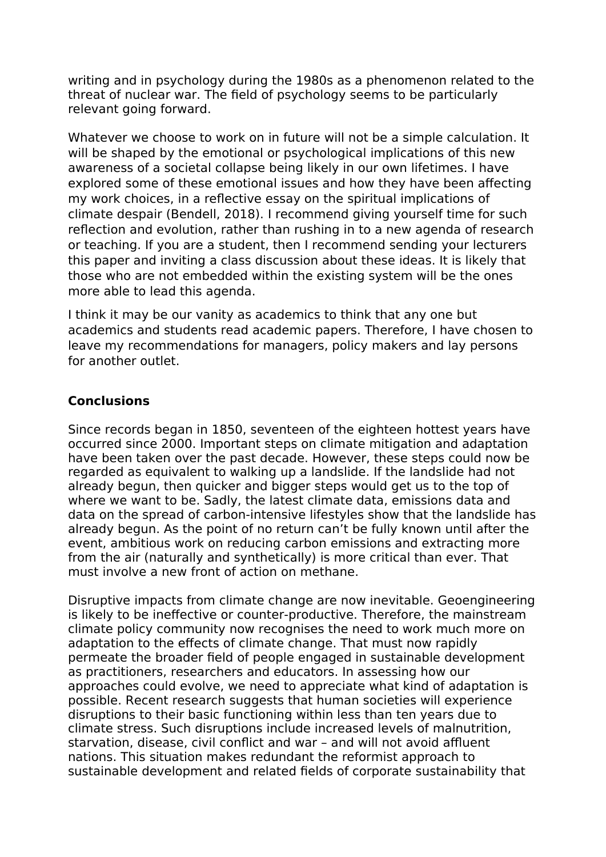writing and in psychology during the 1980s as a phenomenon related to the threat of nuclear war. The field of psychology seems to be particularly relevant going forward.

Whatever we choose to work on in future will not be a simple calculation. It will be shaped by the emotional or psychological implications of this new awareness of a societal collapse being likely in our own lifetimes. I have explored some of these emotional issues and how they have been affecting my work choices, in a reflective essay on the spiritual implications of climate despair (Bendell, 2018). I recommend giving yourself time for such reflection and evolution, rather than rushing in to a new agenda of research or teaching. If you are a student, then I recommend sending your lecturers this paper and inviting a class discussion about these ideas. It is likely that those who are not embedded within the existing system will be the ones more able to lead this agenda.

I think it may be our vanity as academics to think that any one but academics and students read academic papers. Therefore, I have chosen to leave my recommendations for managers, policy makers and lay persons for another outlet.

## **Conclusions**

Since records began in 1850, seventeen of the eighteen hottest years have occurred since 2000. Important steps on climate mitigation and adaptation have been taken over the past decade. However, these steps could now be regarded as equivalent to walking up a landslide. If the landslide had not already begun, then quicker and bigger steps would get us to the top of where we want to be. Sadly, the latest climate data, emissions data and data on the spread of carbon-intensive lifestyles show that the landslide has already begun. As the point of no return can't be fully known until after the event, ambitious work on reducing carbon emissions and extracting more from the air (naturally and synthetically) is more critical than ever. That must involve a new front of action on methane.

Disruptive impacts from climate change are now inevitable. Geoengineering is likely to be ineffective or counter-productive. Therefore, the mainstream climate policy community now recognises the need to work much more on adaptation to the effects of climate change. That must now rapidly permeate the broader field of people engaged in sustainable development as practitioners, researchers and educators. In assessing how our approaches could evolve, we need to appreciate what kind of adaptation is possible. Recent research suggests that human societies will experience disruptions to their basic functioning within less than ten years due to climate stress. Such disruptions include increased levels of malnutrition, starvation, disease, civil conflict and war – and will not avoid affluent nations. This situation makes redundant the reformist approach to sustainable development and related fields of corporate sustainability that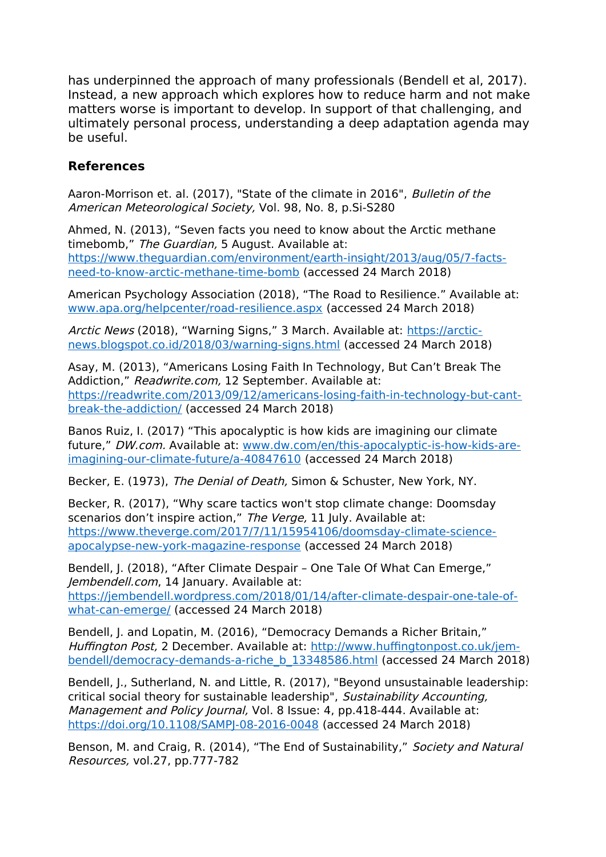has underpinned the approach of many professionals (Bendell et al, 2017). Instead, a new approach which explores how to reduce harm and not make matters worse is important to develop. In support of that challenging, and ultimately personal process, understanding a deep adaptation agenda may be useful.

#### **References**

Aaron-Morrison et. al. (2017), "State of the climate in 2016", Bulletin of the American Meteorological Society, Vol. 98, No. 8, p.Si-S280

Ahmed, N. (2013), "Seven facts you need to know about the Arctic methane timebomb," The Guardian, 5 August. Available at: [https://www.theguardian.com/environment/earth-insight/2013/aug/05/7-facts](https://www.theguardian.com/environment/earth-insight/2013/aug/05/7-facts-need-to-know-arctic-methane-time-bomb)[need-to-know-arctic-methane-time-bomb](https://www.theguardian.com/environment/earth-insight/2013/aug/05/7-facts-need-to-know-arctic-methane-time-bomb) (accessed 24 March 2018)

American Psychology Association (2018), "The Road to Resilience." Available at: [www.apa.org/helpcenter/road-resilience.aspx](http://www.apa.org/helpcenter/road-resilience.aspx) (accessed 24 March 2018)

Arctic News (2018), "Warning Signs," 3 March. Available at: [https://arctic](https://arctic-news.blogspot.co.id/2018/03/warning-signs.html)[news.blogspot.co.id/2018/03/warning-signs.html](https://arctic-news.blogspot.co.id/2018/03/warning-signs.html) (accessed 24 March 2018)

Asay, M. (2013), "Americans Losing Faith In Technology, But Can't Break The Addiction," Readwrite.com, 12 September. Available at: [https://readwrite.com/2013/09/12/americans-losing-faith-in-technology-but-cant](https://readwrite.com/2013/09/12/americans-losing-faith-in-technology-but-cant-break-the-addiction/)[break-the-addiction/](https://readwrite.com/2013/09/12/americans-losing-faith-in-technology-but-cant-break-the-addiction/) (accessed 24 March 2018)

Banos Ruiz, I. (2017) "This apocalyptic is how kids are imagining our climate future," DW.com. Available at: [www.dw.com/en/this-apocalyptic-is-how-kids-are](http://www.dw.com/en/this-apocalyptic-is-how-kids-are-imagining-our-climate-future/a-40847610)[imagining-our-climate-future/a-40847610](http://www.dw.com/en/this-apocalyptic-is-how-kids-are-imagining-our-climate-future/a-40847610) (accessed 24 March 2018)

Becker, E. (1973), The Denial of Death, Simon & Schuster, New York, NY.

Becker, R. (2017), "Why scare tactics won't stop climate change: Doomsday scenarios don't inspire action," The Verge, 11 July. Available at: [https://www.theverge.com/2017/7/11/15954106/doomsday-climate-science](https://www.theverge.com/2017/7/11/15954106/doomsday-climate-science-apocalypse-new-york-magazine-response)[apocalypse-new-york-magazine-response](https://www.theverge.com/2017/7/11/15954106/doomsday-climate-science-apocalypse-new-york-magazine-response) (accessed 24 March 2018)

Bendell, J. (2018), "After Climate Despair – One Tale Of What Can Emerge," Jembendell.com, 14 January. Available at: [https://jembendell.wordpress.com/2018/01/14/after-climate-despair-one-tale-of](https://jembendell.wordpress.com/2018/01/14/after-climate-despair-one-tale-of-what-can-emerge/)[what-can-emerge/](https://jembendell.wordpress.com/2018/01/14/after-climate-despair-one-tale-of-what-can-emerge/) (accessed 24 March 2018)

Bendell, J. and Lopatin, M. (2016), "Democracy Demands a Richer Britain," Huffington Post, 2 December. Available at: [http://www.huffingtonpost.co.uk/jem](http://www.huffingtonpost.co.uk/jem-bendell/democracy-demands-a-riche_b_13348586.html)[bendell/democracy-demands-a-riche\\_b\\_13348586.html](http://www.huffingtonpost.co.uk/jem-bendell/democracy-demands-a-riche_b_13348586.html) (accessed 24 March 2018)

Bendell, J., Sutherland, N. and Little, R. (2017), "Beyond unsustainable leadership: critical social theory for sustainable leadership", Sustainability Accounting, Management and Policy Journal, Vol. 8 Issue: 4, pp.418-444. Available at: <https://doi.org/10.1108/SAMPJ-08-2016-0048>(accessed 24 March 2018)

Benson, M. and Craig, R. (2014), "The End of Sustainability," Society and Natural Resources, vol.27, pp.777-782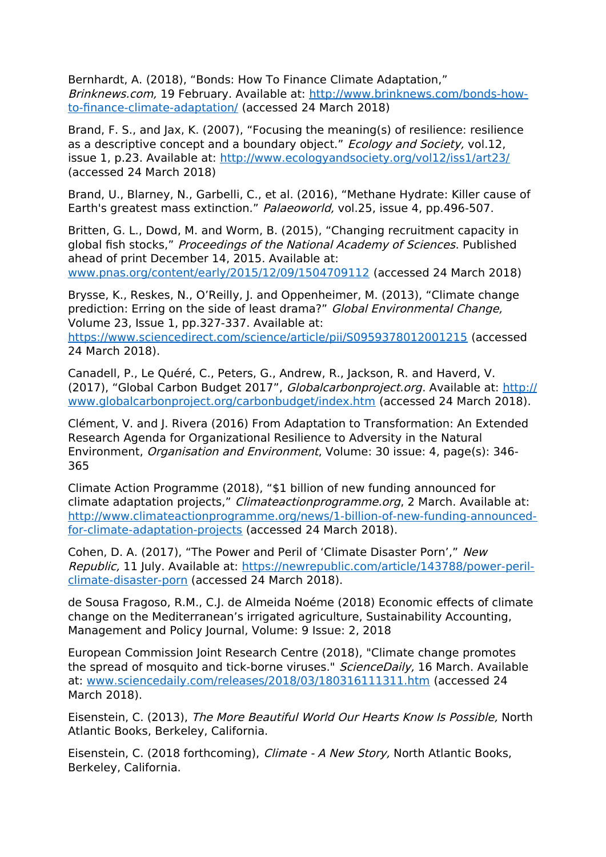Bernhardt, A. (2018), "Bonds: How To Finance Climate Adaptation," Brinknews.com, 19 February. Available at: [http://www.brinknews.com/bonds-how](http://www.brinknews.com/bonds-how-to-finance-climate-adaptation/)[to-finance-climate-adaptation/](http://www.brinknews.com/bonds-how-to-finance-climate-adaptation/) (accessed 24 March 2018)

Brand, F. S., and Jax, K. (2007), "Focusing the meaning(s) of resilience: resilience as a descriptive concept and a boundary object." Ecology and Society, vol.12, issue 1, p.23. Available at: <http://www.ecologyandsociety.org/vol12/iss1/art23/> (accessed 24 March 2018)

Brand, U., Blarney, N., Garbelli, C., et al. (2016), "Methane Hydrate: Killer cause of Earth's greatest mass extinction." Palaeoworld, vol.25, issue 4, pp.496-507.

Britten, G. L., Dowd, M. and Worm, B. (2015), "Changing recruitment capacity in global fish stocks," Proceedings of the National Academy of Sciences. Published ahead of print December 14, 2015. Available at:

[www.pnas.org/content/early/2015/12/09/1504709112](http://www.pnas.org/content/early/2015/12/09/1504709112) (accessed 24 March 2018)

Brysse, K., Reskes, N., O'Reilly, J. and Oppenheimer, M. (2013), "Climate change prediction: Erring on the side of least drama?" Global Environmental Change, Volume 23, Issue 1, pp.327-337. Available at:

<https://www.sciencedirect.com/science/article/pii/S0959378012001215>(accessed 24 March 2018).

Canadell, P., Le Quéré, C., Peters, G., Andrew, R., Jackson, R. and Haverd, V. (2017), "Global Carbon Budget 2017", Globalcarbonproject.org. Available at: [http://](http://www.globalcarbonproject.org/carbonbudget/index.htm) [www.globalcarbonproject.org/carbonbudget/index.htm](http://www.globalcarbonproject.org/carbonbudget/index.htm) (accessed 24 March 2018).

Clément, V. and J. Rivera (2016) From Adaptation to Transformation: An Extended Research Agenda for Organizational Resilience to Adversity in the Natural Environment, Organisation and Environment, Volume: 30 issue: 4, page(s): 346- 365

Climate Action Programme (2018), "\$1 billion of new funding announced for climate adaptation projects," Climateactionprogramme.org, 2 March. Available at: [http://www.climateactionprogramme.org/news/1-billion-of-new-funding-announced](http://www.climateactionprogramme.org/news/1-billion-of-new-funding-announced-for-climate-adaptation-projects)[for-climate-adaptation-projects](http://www.climateactionprogramme.org/news/1-billion-of-new-funding-announced-for-climate-adaptation-projects) (accessed 24 March 2018).

Cohen, D. A. (2017), "The Power and Peril of 'Climate Disaster Porn'," New Republic, 11 July. Available at: [https://newrepublic.com/article/143788/power-peril](https://newrepublic.com/article/143788/power-peril-climate-disaster-porn)[climate-disaster-porn](https://newrepublic.com/article/143788/power-peril-climate-disaster-porn) (accessed 24 March 2018).

de Sousa Fragoso, R.M., C.J. de Almeida Noéme (2018) Economic effects of climate change on the Mediterranean's irrigated agriculture, Sustainability Accounting, Management and Policy Journal, Volume: 9 Issue: 2, 2018

European Commission Joint Research Centre (2018), "Climate change promotes the spread of mosquito and tick-borne viruses." ScienceDaily, 16 March. Available at: [www.sciencedaily.com/releases/2018/03/180316111311.htm](http://www.sciencedaily.com/releases/2018/03/180316111311.htm) (accessed 24 March 2018).

Eisenstein, C. (2013), The More Beautiful World Our Hearts Know Is Possible, North Atlantic Books, Berkeley, California.

Eisenstein, C. (2018 forthcoming), *Climate - A New Story*, North Atlantic Books, Berkeley, California.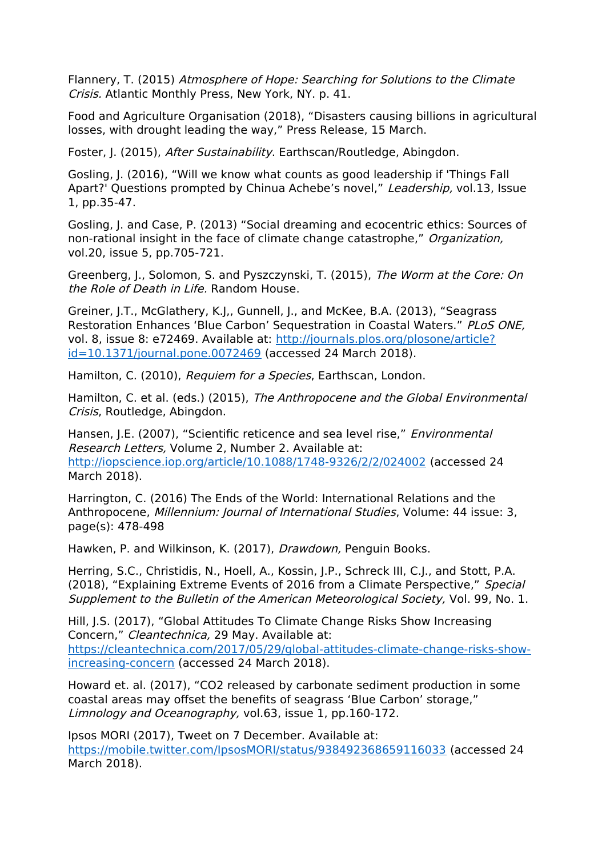Flannery, T. (2015) Atmosphere of Hope: Searching for Solutions to the Climate Crisis. Atlantic Monthly Press, New York, NY. p. 41.

Food and Agriculture Organisation (2018), "Disasters causing billions in agricultural losses, with drought leading the way," Press Release, 15 March.

Foster, J. (2015), After Sustainability. Earthscan/Routledge, Abingdon.

Gosling, J. (2016), "Will we know what counts as good leadership if 'Things Fall Apart?' Questions prompted by Chinua Achebe's novel," Leadership, vol.13, Issue 1, pp.35-47.

Gosling, J. and Case, P. (2013) "Social dreaming and ecocentric ethics: Sources of non-rational insight in the face of climate change catastrophe," Organization, vol.20, issue 5, pp.705-721.

Greenberg, J., Solomon, S. and Pyszczynski, T. (2015), The Worm at the Core: On the Role of Death in Life. Random House.

Greiner, J.T., McGlathery, K.J,, Gunnell, J., and McKee, B.A. (2013), "Seagrass Restoration Enhances 'Blue Carbon' Sequestration in Coastal Waters." PLoS ONE, vol. 8, issue 8: e72469. Available at: [http://journals.plos.org/plosone/article?](http://journals.plos.org/plosone/article?id=10.1371/journal.pone.0072469) [id=10.1371/journal.pone.0072469](http://journals.plos.org/plosone/article?id=10.1371/journal.pone.0072469) (accessed 24 March 2018).

Hamilton, C. (2010), Requiem for a Species, Earthscan, London.

Hamilton, C. et al. (eds.) (2015), The Anthropocene and the Global Environmental Crisis, Routledge, Abingdon.

Hansen, J.E. (2007), "Scientific reticence and sea level rise," Environmental Research Letters, Volume 2, Number 2. Available at: <http://iopscience.iop.org/article/10.1088/1748-9326/2/2/024002>(accessed 24 March 2018).

Harrington, C. (2016) The Ends of the World: International Relations and the Anthropocene, Millennium: Journal of International Studies, Volume: 44 issue: 3, page(s): 478-498

Hawken, P. and Wilkinson, K. (2017), Drawdown, Penguin Books.

Herring, S.C., Christidis, N., Hoell, A., Kossin, J.P., Schreck III, C.J., and Stott, P.A. (2018), "Explaining Extreme Events of 2016 from a Climate Perspective," Special Supplement to the Bulletin of the American Meteorological Society, Vol. 99, No. 1.

Hill, J.S. (2017), "Global Attitudes To Climate Change Risks Show Increasing Concern," Cleantechnica, 29 May. Available at: [https://cleantechnica.com/2017/05/29/global-attitudes-climate-change-risks-show](https://cleantechnica.com/2017/05/29/global-attitudes-climate-change-risks-show-increasing-concern)[increasing-concern](https://cleantechnica.com/2017/05/29/global-attitudes-climate-change-risks-show-increasing-concern) (accessed 24 March 2018).

Howard et. al. (2017), "CO2 released by carbonate sediment production in some coastal areas may offset the benefits of seagrass 'Blue Carbon' storage," Limnology and Oceanography, vol.63, issue 1, pp.160-172.

Ipsos MORI (2017), Tweet on 7 December. Available at: <https://mobile.twitter.com/IpsosMORI/status/938492368659116033>(accessed 24 March 2018).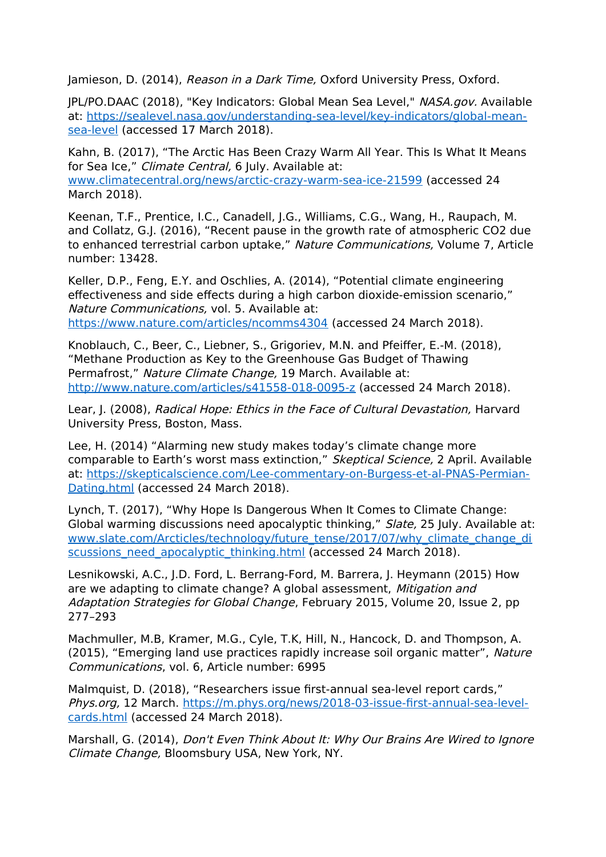Jamieson, D. (2014), Reason in a Dark Time, Oxford University Press, Oxford.

JPL/PO.DAAC (2018), "Key Indicators: Global Mean Sea Level," NASA.gov. Available at: [https://sealevel.nasa.gov/understanding-sea-level/key-indicators/global-mean](https://sealevel.nasa.gov/understanding-sea-level/key-indicators/global-mean-sea-level)[sea-level](https://sealevel.nasa.gov/understanding-sea-level/key-indicators/global-mean-sea-level) (accessed 17 March 2018).

Kahn, B. (2017), "The Arctic Has Been Crazy Warm All Year. This Is What It Means for Sea Ice," Climate Central, 6 July. Available at: [www.climatecentral.org/news/arctic-crazy-warm-sea-ice-21599](http://www.climatecentral.org/news/arctic-crazy-warm-sea-ice-21599) (accessed 24 March 2018).

Keenan, T.F., Prentice, I.C., Canadell, J.G., Williams, C.G., Wang, H., Raupach, M. and Collatz, G.J. (2016), "Recent pause in the growth rate of atmospheric CO2 due to enhanced terrestrial carbon uptake," Nature Communications, Volume 7, Article number: 13428.

Keller, D.P., Feng, E.Y. and Oschlies, A. (2014), "Potential climate engineering effectiveness and side effects during a high carbon dioxide-emission scenario," Nature Communications, vol. 5. Available at: <https://www.nature.com/articles/ncomms4304>(accessed 24 March 2018).

Knoblauch, C., Beer, C., Liebner, S., Grigoriev, M.N. and Pfeiffer, E.-M. (2018), "Methane Production as Key to the Greenhouse Gas Budget of Thawing Permafrost," Nature Climate Change, 19 March. Available at: <http://www.nature.com/articles/s41558-018-0095-z>(accessed 24 March 2018).

Lear, J. (2008), Radical Hope: Ethics in the Face of Cultural Devastation, Harvard University Press, Boston, Mass.

Lee, H. (2014) "Alarming new study makes today's climate change more comparable to Earth's worst mass extinction," Skeptical Science, 2 April. Available at: [https://skepticalscience.com/Lee-commentary-on-Burgess-et-al-PNAS-Permian-](https://skepticalscience.com/Lee-commentary-on-Burgess-et-al-PNAS-Permian-Dating.html)[Dating.html](https://skepticalscience.com/Lee-commentary-on-Burgess-et-al-PNAS-Permian-Dating.html) (accessed 24 March 2018).

Lynch, T. (2017), "Why Hope Is Dangerous When It Comes to Climate Change: Global warming discussions need apocalyptic thinking," Slate, 25 July. Available at: [www.slate.com/Arcticles/technology/future\\_tense/2017/07/why\\_climate\\_change\\_di](http://www.slate.com/Arcticles/technology/future_tense/2017/07/why_climate_change_discussions_need_apocalyptic_thinking.html) [scussions\\_need\\_apocalyptic\\_thinking.html](http://www.slate.com/Arcticles/technology/future_tense/2017/07/why_climate_change_discussions_need_apocalyptic_thinking.html) (accessed 24 March 2018).

Lesnikowski, A.C., J.D. Ford, L. Berrang-Ford, M. Barrera, J. Heymann (2015) How are we adapting to climate change? A global assessment, Mitigation and Adaptation Strategies for Global Change, February 2015, Volume 20, Issue 2, pp 277–293

Machmuller, M.B, Kramer, M.G., Cyle, T.K, Hill, N., Hancock, D. and Thompson, A. (2015), "Emerging land use practices rapidly increase soil organic matter", Nature Communications, vol. 6, Article number: 6995

Malmquist, D. (2018), "Researchers issue first-annual sea-level report cards," Phys.org, 12 March. [https://m.phys.org/news/2018-03-issue-first-annual-sea-level](https://m.phys.org/news/2018-03-issue-first-annual-sea-level-cards.html)[cards.html](https://m.phys.org/news/2018-03-issue-first-annual-sea-level-cards.html) (accessed 24 March 2018).

Marshall, G. (2014), *Don't Even Think About It: Why Our Brains Are Wired to Ignore* Climate Change, Bloomsbury USA, New York, NY.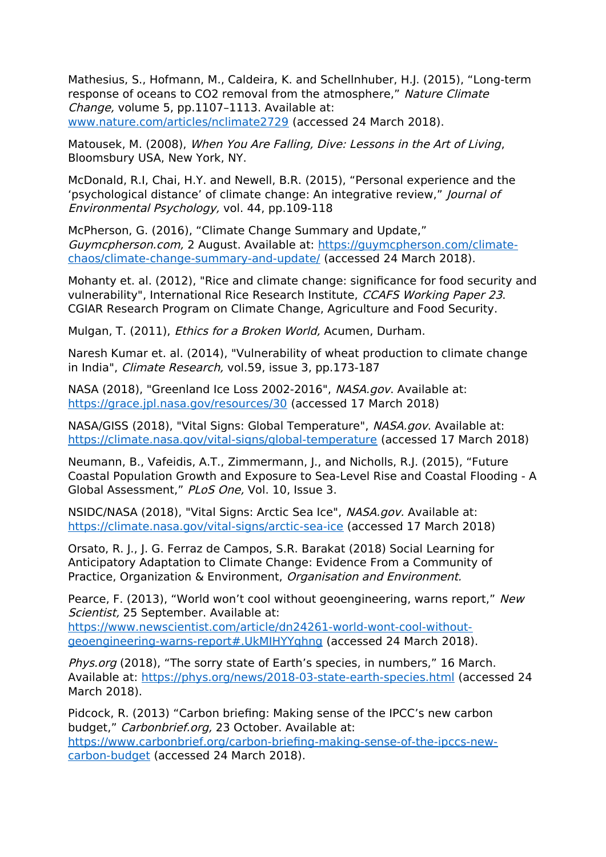Mathesius, S., Hofmann, M., Caldeira, K. and Schellnhuber, H.J. (2015), "Long-term response of oceans to CO2 removal from the atmosphere," Nature Climate Change, volume 5, pp.1107–1113. Available at: [www.nature.com/articles/nclimate2729](http://www.nature.com/articles/nclimate2729) (accessed 24 March 2018).

Matousek, M. (2008), When You Are Falling, Dive: Lessons in the Art of Living, Bloomsbury USA, New York, NY.

McDonald, R.I, Chai, H.Y. and Newell, B.R. (2015), "Personal experience and the 'psychological distance' of climate change: An integrative review," Journal of Environmental Psychology, vol. 44, pp.109-118

McPherson, G. (2016), "Climate Change Summary and Update," Guymcpherson.com, 2 August. Available at: [https://guymcpherson.com/climate](https://guymcpherson.com/climate-chaos/climate-change-summary-and-update/)[chaos/climate-change-summary-and-update/](https://guymcpherson.com/climate-chaos/climate-change-summary-and-update/) (accessed 24 March 2018).

Mohanty et. al. (2012), "Rice and climate change: significance for food security and vulnerability", International Rice Research Institute, CCAFS Working Paper 23. CGIAR Research Program on Climate Change, Agriculture and Food Security.

Mulgan, T. (2011), Ethics for a Broken World, Acumen, Durham.

Naresh Kumar et. al. (2014), "Vulnerability of wheat production to climate change in India", Climate Research, vol.59, issue 3, pp.173-187

NASA (2018), "Greenland Ice Loss 2002-2016", NASA.gov. Available at: <https://grace.jpl.nasa.gov/resources/30>(accessed 17 March 2018)

NASA/GISS (2018), "Vital Signs: Global Temperature", NASA.gov. Available at: <https://climate.nasa.gov/vital-signs/global-temperature>(accessed 17 March 2018)

Neumann, B., Vafeidis, A.T., Zimmermann, J., and Nicholls, R.J. (2015), "Future Coastal Population Growth and Exposure to Sea-Level Rise and Coastal Flooding - A Global Assessment," PLoS One, Vol. 10, Issue 3.

NSIDC/NASA (2018), "Vital Signs: Arctic Sea Ice", NASA.gov. Available at: <https://climate.nasa.gov/vital-signs/arctic-sea-ice>(accessed 17 March 2018)

Orsato, R. J., J. G. Ferraz de Campos, S.R. Barakat (2018) Social Learning for Anticipatory Adaptation to Climate Change: Evidence From a Community of Practice, Organization & Environment, Organisation and Environment.

Pearce, F. (2013), "World won't cool without geoengineering, warns report," New Scientist, 25 September. Available at:

[https://www.newscientist.com/article/dn24261-world-wont-cool-without](https://www.newscientist.com/article/dn24261-world-wont-cool-without-geoengineering-warns-report#.UkMIHYYqhng)[geoengineering-warns-report#.UkMIHYYqhng](https://www.newscientist.com/article/dn24261-world-wont-cool-without-geoengineering-warns-report#.UkMIHYYqhng) (accessed 24 March 2018).

Phys.org (2018), "The sorry state of Earth's species, in numbers," 16 March. Available at:<https://phys.org/news/2018-03-state-earth-species.html>(accessed 24 March 2018).

Pidcock, R. (2013) "Carbon briefing: Making sense of the IPCC's new carbon budget," Carbonbrief.org, 23 October. Available at: [https://www.carbonbrief.org/carbon-briefing-making-sense-of-the-ipccs-new](https://www.carbonbrief.org/carbon-briefing-making-sense-of-the-ipccs-new-carbon-budget)[carbon-budget](https://www.carbonbrief.org/carbon-briefing-making-sense-of-the-ipccs-new-carbon-budget) (accessed 24 March 2018).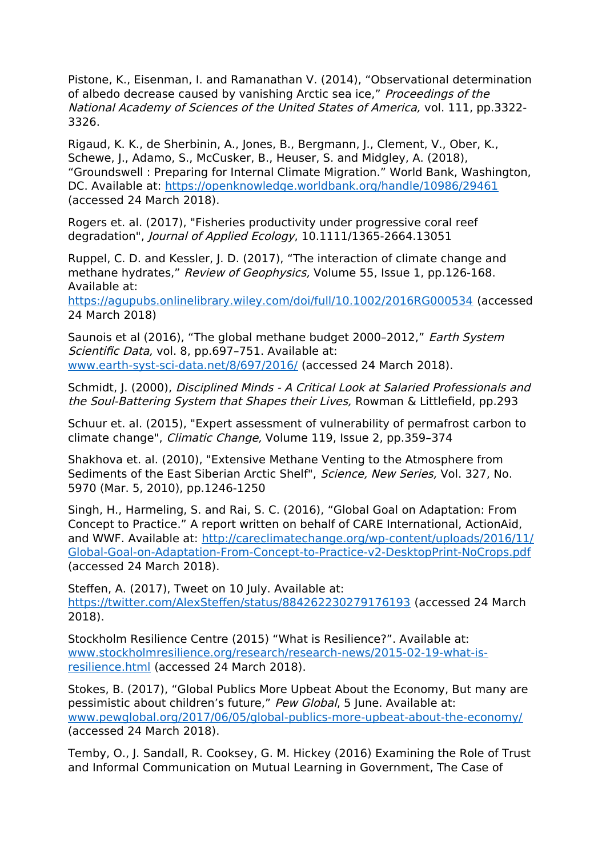Pistone, K., Eisenman, I. and Ramanathan V. (2014), "Observational determination of albedo decrease caused by vanishing Arctic sea ice," Proceedings of the National Academy of Sciences of the United States of America, vol. 111, pp.3322- 3326.

Rigaud, K. K., de Sherbinin, A., Jones, B., Bergmann, J., Clement, V., Ober, K., Schewe, J., Adamo, S., McCusker, B., Heuser, S. and Midgley, A. (2018), "Groundswell : Preparing for Internal Climate Migration." World Bank, Washington, DC. Available at:<https://openknowledge.worldbank.org/handle/10986/29461> (accessed 24 March 2018).

Rogers et. al. (2017), "Fisheries productivity under progressive coral reef degradation", Journal of Applied Ecology, 10.1111/1365-2664.13051

Ruppel, C. D. and Kessler, J. D. (2017), "The interaction of climate change and methane hydrates," Review of Geophysics, Volume 55, Issue 1, pp.126-168. Available at:

<https://agupubs.onlinelibrary.wiley.com/doi/full/10.1002/2016RG000534>(accessed 24 March 2018)

Saunois et al (2016), "The global methane budget 2000-2012," Earth System Scientific Data, vol. 8, pp.697-751. Available at: [www.earth-syst-sci-data.net/8/697/2016/](http://www.earth-syst-sci-data.net/8/697/2016/) (accessed 24 March 2018).

Schmidt, J. (2000), Disciplined Minds - A Critical Look at Salaried Professionals and the Soul-Battering System that Shapes their Lives, Rowman & Littlefield, pp.293

Schuur et. al. (2015), "Expert assessment of vulnerability of permafrost carbon to climate change", Climatic Change, Volume 119, Issue 2, pp.359–374

Shakhova et. al. (2010), "Extensive Methane Venting to the Atmosphere from Sediments of the East Siberian Arctic Shelf", Science, New Series, Vol. 327, No. 5970 (Mar. 5, 2010), pp.1246-1250

Singh, H., Harmeling, S. and Rai, S. C. (2016), "Global Goal on Adaptation: From Concept to Practice." A report written on behalf of CARE International, ActionAid, and WWF. Available at: [http://careclimatechange.org/wp-content/uploads/2016/11/](http://careclimatechange.org/wp-content/uploads/2016/11/Global-Goal-on-Adaptation-From-Concept-to-Practice-v2-DesktopPrint-NoCrops.pdf) [Global-Goal-on-Adaptation-From-Concept-to-Practice-v2-DesktopPrint-NoCrops.pdf](http://careclimatechange.org/wp-content/uploads/2016/11/Global-Goal-on-Adaptation-From-Concept-to-Practice-v2-DesktopPrint-NoCrops.pdf) (accessed 24 March 2018).

Steffen, A. (2017), Tweet on 10 July. Available at: <https://twitter.com/AlexSteffen/status/884262230279176193>(accessed 24 March 2018).

Stockholm Resilience Centre (2015) "What is Resilience?". Available at: [www.stockholmresilience.org/research/research-news/2015-02-19-what-is](http://www.stockholmresilience.org/research/research-news/2015-02-19-what-is-resilience.html)[resilience.html](http://www.stockholmresilience.org/research/research-news/2015-02-19-what-is-resilience.html) (accessed 24 March 2018).

Stokes, B. (2017), "Global Publics More Upbeat About the Economy, But many are pessimistic about children's future," Pew Global, 5 June. Available at: [www.pewglobal.org/2017/06/05/global-publics-more-upbeat-about-the-economy/](http://www.pewglobal.org/2017/06/05/global-publics-more-upbeat-about-the-economy/) (accessed 24 March 2018).

Temby, O., J. Sandall, R. Cooksey, G. M. Hickey (2016) Examining the Role of Trust and Informal Communication on Mutual Learning in Government, The Case of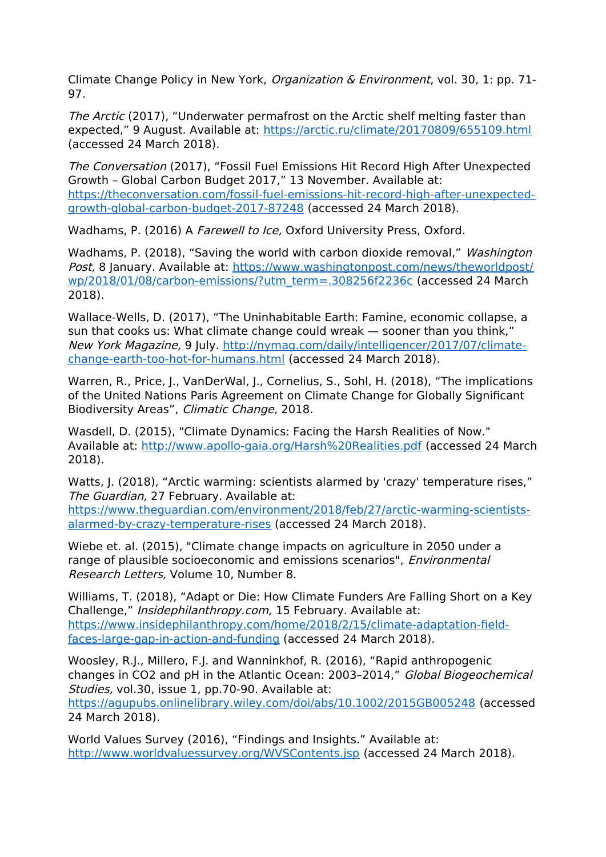Climate Change Policy in New York, Organization & Environment, vol. 30, 1: pp. 71- 97.

The Arctic (2017), "Underwater permafrost on the Arctic shelf melting faster than expected," 9 August. Available at:<https://arctic.ru/climate/20170809/655109.html> (accessed 24 March 2018).

The Conversation (2017), "Fossil Fuel Emissions Hit Record High After Unexpected Growth – Global Carbon Budget 2017," 13 November. Available at: [https://theconversation.com/fossil-fuel-emissions-hit-record-high-after-unexpected](https://theconversation.com/fossil-fuel-emissions-hit-record-high-after-unexpected-growth-global-carbon-budget-2017-87248)[growth-global-carbon-budget-2017-87248](https://theconversation.com/fossil-fuel-emissions-hit-record-high-after-unexpected-growth-global-carbon-budget-2017-87248) (accessed 24 March 2018).

Wadhams, P. (2016) A Farewell to Ice, Oxford University Press, Oxford.

Wadhams, P. (2018), "Saving the world with carbon dioxide removal," Washington Post, 8 January. Available at: [https://www.washingtonpost.com/news/theworldpost/](https://www.washingtonpost.com/news/theworldpost/wp/2018/01/08/carbon-emissions/?utm_term=.308256f2236c) [wp/2018/01/08/carbon-emissions/?utm\\_term=.308256f2236c](https://www.washingtonpost.com/news/theworldpost/wp/2018/01/08/carbon-emissions/?utm_term=.308256f2236c) (accessed 24 March 2018).

Wallace-Wells, D. (2017), "The Uninhabitable Earth: Famine, economic collapse, a sun that cooks us: What climate change could wreak — sooner than you think," New York Magazine, 9 July. [http://nymag.com/daily/intelligencer/2017/07/climate](http://nymag.com/daily/intelligencer/2017/07/climate-change-earth-too-hot-for-humans.html)[change-earth-too-hot-for-humans.html](http://nymag.com/daily/intelligencer/2017/07/climate-change-earth-too-hot-for-humans.html) (accessed 24 March 2018).

Warren, R., Price, J., VanDerWal, J., Cornelius, S., Sohl, H. (2018), "The implications of the United Nations Paris Agreement on Climate Change for Globally Significant Biodiversity Areas", Climatic Change, 2018.

Wasdell, D. (2015), "Climate Dynamics: Facing the Harsh Realities of Now." Available at:<http://www.apollo-gaia.org/Harsh%20Realities.pdf>(accessed 24 March 2018).

Watts, J. (2018), "Arctic warming: scientists alarmed by 'crazy' temperature rises," The Guardian, 27 February. Available at:

[https://www.theguardian.com/environment/2018/feb/27/arctic-warming-scientists](https://www.theguardian.com/environment/2018/feb/27/arctic-warming-scientists-alarmed-by-crazy-temperature-rises)[alarmed-by-crazy-temperature-rises](https://www.theguardian.com/environment/2018/feb/27/arctic-warming-scientists-alarmed-by-crazy-temperature-rises) (accessed 24 March 2018).

Wiebe et. al. (2015), "Climate change impacts on agriculture in 2050 under a range of plausible socioeconomic and emissions scenarios", Environmental Research Letters, Volume 10, Number 8.

Williams, T. (2018), "Adapt or Die: How Climate Funders Are Falling Short on a Key Challenge," Insidephilanthropy.com, 15 February. Available at: [https://www.insidephilanthropy.com/home/2018/2/15/climate-adaptation-field](https://www.insidephilanthropy.com/home/2018/2/15/climate-adaptation-field-faces-large-gap-in-action-and-funding)[faces-large-gap-in-action-and-funding](https://www.insidephilanthropy.com/home/2018/2/15/climate-adaptation-field-faces-large-gap-in-action-and-funding) (accessed 24 March 2018).

Woosley, R.J., Millero, F.J. and Wanninkhof, R. (2016), "Rapid anthropogenic changes in CO2 and pH in the Atlantic Ocean: 2003–2014," Global Biogeochemical Studies, vol.30, issue 1, pp.70-90. Available at:

<https://agupubs.onlinelibrary.wiley.com/doi/abs/10.1002/2015GB005248>(accessed 24 March 2018).

World Values Survey (2016), "Findings and Insights." Available at: <http://www.worldvaluessurvey.org/WVSContents.jsp>(accessed 24 March 2018).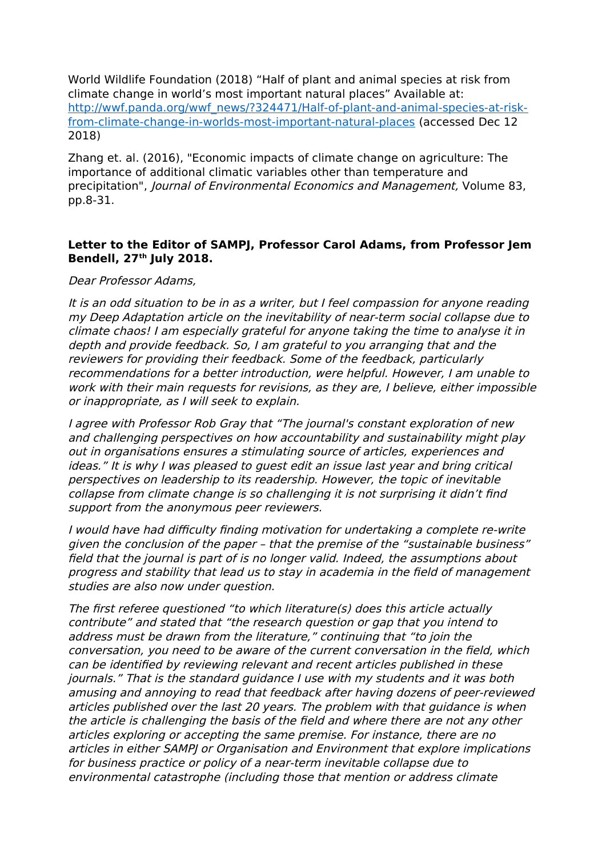World Wildlife Foundation (2018) "Half of plant and animal species at risk from climate change in world's most important natural places" Available at: [http://wwf.panda.org/wwf\\_news/?324471/Half-of-plant-and-animal-species-at-risk](http://wwf.panda.org/wwf_news/?324471/Half-of-plant-and-animal-species-at-risk-from-climate-change-in-worlds-most-important-natural-places)[from-climate-change-in-worlds-most-important-natural-places](http://wwf.panda.org/wwf_news/?324471/Half-of-plant-and-animal-species-at-risk-from-climate-change-in-worlds-most-important-natural-places) (accessed Dec 12 2018)

Zhang et. al. (2016), "Economic impacts of climate change on agriculture: The importance of additional climatic variables other than temperature and precipitation", Journal of Environmental Economics and Management, Volume 83, pp.8-31.

#### **Letter to the Editor of SAMPJ, Professor Carol Adams, from Professor Jem Bendell, 27th July 2018.**

#### Dear Professor Adams,

It is an odd situation to be in as a writer, but I feel compassion for anyone reading my Deep Adaptation article on the inevitability of near-term social collapse due to climate chaos! I am especially grateful for anyone taking the time to analyse it in depth and provide feedback. So, I am grateful to you arranging that and the reviewers for providing their feedback. Some of the feedback, particularly recommendations for a better introduction, were helpful. However, I am unable to work with their main requests for revisions, as they are, I believe, either impossible or inappropriate, as I will seek to explain.

I agree with Professor Rob Gray that "The journal's constant exploration of new and challenging perspectives on how accountability and sustainability might play out in organisations ensures a stimulating source of articles, experiences and ideas." It is why I was pleased to guest edit an issue last year and bring critical perspectives on leadership to its readership. However, the topic of inevitable collapse from climate change is so challenging it is not surprising it didn't find support from the anonymous peer reviewers.

I would have had difficulty finding motivation for undertaking a complete re-write given the conclusion of the paper – that the premise of the "sustainable business" field that the journal is part of is no longer valid. Indeed, the assumptions about progress and stability that lead us to stay in academia in the field of management studies are also now under question.

The first referee questioned "to which literature(s) does this article actually contribute" and stated that "the research question or gap that you intend to address must be drawn from the literature," continuing that "to join the conversation, you need to be aware of the current conversation in the field, which can be identified by reviewing relevant and recent articles published in these journals." That is the standard guidance I use with my students and it was both amusing and annoying to read that feedback after having dozens of peer-reviewed articles published over the last 20 years. The problem with that guidance is when the article is challenging the basis of the field and where there are not any other articles exploring or accepting the same premise. For instance, there are no articles in either SAMPJ or Organisation and Environment that explore implications for business practice or policy of a near-term inevitable collapse due to environmental catastrophe (including those that mention or address climate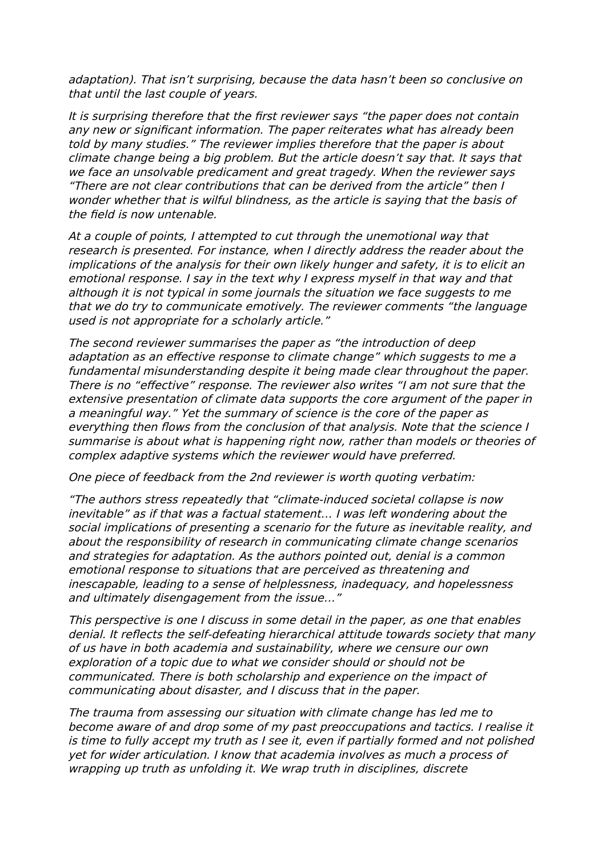adaptation). That isn't surprising, because the data hasn't been so conclusive on that until the last couple of years.

It is surprising therefore that the first reviewer says "the paper does not contain any new or significant information. The paper reiterates what has already been told by many studies." The reviewer implies therefore that the paper is about climate change being a big problem. But the article doesn't say that. It says that we face an unsolvable predicament and great tragedy. When the reviewer says "There are not clear contributions that can be derived from the article" then I wonder whether that is wilful blindness, as the article is saying that the basis of the field is now untenable.

At a couple of points, I attempted to cut through the unemotional way that research is presented. For instance, when I directly address the reader about the implications of the analysis for their own likely hunger and safety, it is to elicit an emotional response. I say in the text why I express myself in that way and that although it is not typical in some journals the situation we face suggests to me that we do try to communicate emotively. The reviewer comments "the language used is not appropriate for a scholarly article."

The second reviewer summarises the paper as "the introduction of deep adaptation as an effective response to climate change" which suggests to me a fundamental misunderstanding despite it being made clear throughout the paper. There is no "effective" response. The reviewer also writes "I am not sure that the extensive presentation of climate data supports the core argument of the paper in a meaningful way." Yet the summary of science is the core of the paper as everything then flows from the conclusion of that analysis. Note that the science I summarise is about what is happening right now, rather than models or theories of complex adaptive systems which the reviewer would have preferred.

One piece of feedback from the 2nd reviewer is worth quoting verbatim:

"The authors stress repeatedly that "climate-induced societal collapse is now inevitable" as if that was a factual statement… I was left wondering about the social implications of presenting a scenario for the future as inevitable reality, and about the responsibility of research in communicating climate change scenarios and strategies for adaptation. As the authors pointed out, denial is a common emotional response to situations that are perceived as threatening and inescapable, leading to a sense of helplessness, inadequacy, and hopelessness and ultimately disengagement from the issue…"

This perspective is one I discuss in some detail in the paper, as one that enables denial. It reflects the self-defeating hierarchical attitude towards society that many of us have in both academia and sustainability, where we censure our own exploration of a topic due to what we consider should or should not be communicated. There is both scholarship and experience on the impact of communicating about disaster, and I discuss that in the paper.

The trauma from assessing our situation with climate change has led me to become aware of and drop some of my past preoccupations and tactics. I realise it is time to fully accept my truth as I see it, even if partially formed and not polished yet for wider articulation. I know that academia involves as much a process of wrapping up truth as unfolding it. We wrap truth in disciplines, discrete